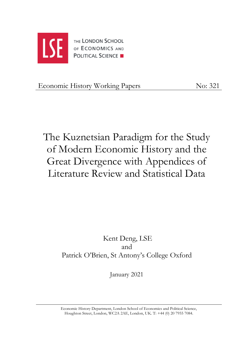

Economic History Working Papers No: 321

The Kuznetsian Paradigm for the Study of Modern Economic History and the Great Divergence with Appendices of Literature Review and Statistical Data

> Kent Deng, LSE and Patrick O'Brien, St Antony's College Oxford

> > January 2021

Economic History Department, London School of Economics and Political Science, Houghton Street, London, WC2A 2AE, London, UK. T: +44 (0) 20 7955 7084.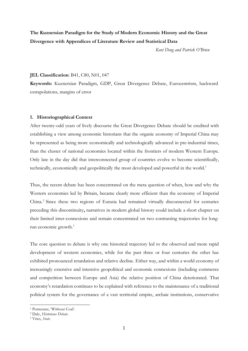# **The Kuznetsian Paradigm for the Study of Modern Economic History and the Great Divergence with Appendices of Literature Review and Statistical Data**

*Kent Deng and Patrick O'Brien*

#### **JEL Classification**: B41, C80, N01, 047

**Keywords:** Kuznetsian Paradigm, GDP, Great Divergence Debate, Eurocentrism, backward extrapolations, margins of error

#### **1. Historiographical Context**

After twenty-odd years of lively discourse the Great Divergence Debate should be credited with establishing a view among economic historians that the organic economy of Imperial China may be represented as being more economically and technologically advanced in pre-industrial times, than the cluster of national economies located within the frontiers of modern Western Europe. Only late in the day did that interconnected group of countries evolve to become scientifically, technically, economically and geopolitically the most developed and powerful in the world.<sup>1</sup>

Thus, the recent debate has been concentrated on the meta question of when, how and why the Western economies led by Britain, became clearly more efficient than the economy of Imperial China.<sup>2</sup> Since these two regions of Eurasia had remained virtually disconnected for centuries preceding this discontinuity**,** narratives in modern global history could include a short chapter on their limited inter-connexions and remain concentrated on two contrasting trajectories for longrun economic growth.<sup>3</sup>

The core question to debate is why one historical trajectory led to the observed and more rapid development of western economies, while for the past three or four centuries the other has exhibited pronounced retardation and relative decline. Either way, and within a world economy of increasingly extensive and intensive geopolitical and economic connexions (including commerce and competition between Europe and Asia) the relative position of China deteriorated. That economy's retardation continues to be explained with reference to the maintenance of a traditional political system for the governance of a vast territorial empire, archaic institutions, conservative

<sup>1</sup> Pomeranz, 'Without Coal'.

<sup>2</sup> Daly, *Historians Debate*.

<sup>3</sup> Vries, *State*.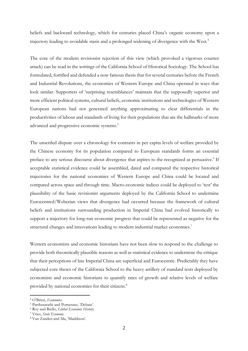beliefs and backward technology, which for centuries placed China's organic economy upon a trajectory leading to avoidable stasis and a prolonged widening of divergence with the West.<sup>4</sup>

The core of the modern revisionist rejection of this view (which provoked a vigorous counter attack) can be read in the writings of the California School of Historical Sociology. The School has formulated, fortified and defended a now famous thesis that for several centuries before the French and Industrial Revolutions, the economies of Western Europe and China operated in ways that look similar. Supporters of 'surprising resemblances' maintain that the supposedly superior and more efficient political systems, cultural beliefs, economic institutions and technologies of Western European nations had not generated anything approximating to clear differentials in the productivities of labour and standards of living for their populations that are the hallmarks of more advanced and progressive economic systems.<sup>5</sup>

The unsettled dispute over a chronology for contrasts in per capita levels of welfare provided by the Chinese economy for its population compared to European standards forms an essential preface to any serious discourse about divergence that aspires to the recognized as persuasive.<sup>6</sup> If acceptable statistical evidence could be assembled, dated and compared the respective historical trajectories for the national economies of Western Europe and China could be located and compared across space and through time. Macro-economic indices could be deployed to 'test' the plausibility of the basic revisionist arguments deployed by the California School to undermine Eurocentred/Weberian views that divergence had occurred because the framework of cultural beliefs and institutions surrounding production in Imperial China had evolved historically to support a trajectory for long-run economic progress that could be represented as negative for the structural changes and innovations leading to modern industrial market economies.<sup>7</sup>

Western economists and economic historians have not been slow to respond to the challenge to provide both theoretically plausible reasons as well as statistical evidence to undermine the critique that their perceptions of late Imperial China are superficial and Eurocentric. Predictably they have subjected core theses of the California School to the heavy artillery of standard tests deployed by economists and economic historians to quantify rates of growth and relative levels of welfare provided by national economies for their citizens.<sup>8</sup>

<sup>4</sup> O'Brien, *Economies.*

<sup>5</sup> Parthasarathi and Pomeranz, 'Debate'.

<sup>6</sup> Roy and Riello, *Global Economic History*.

<sup>7</sup> Vries, *State Economy.*

<sup>8</sup> Van Zanden and Ma, 'Maddison'.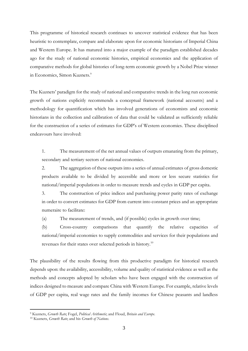This programme of historical research continues to uncover statistical evidence that has been heuristic to contemplate, compare and elaborate upon for economic historians of Imperial China and Western Europe. It has matured into a major example of the paradigm established decades ago for the study of national economic histories, empirical economics and the application of comparative methods for global histories of long-term economic growth by a Nobel Prize winner in Economics, Simon Kuznets.<sup>9</sup>

The Kuznets' paradigm for the study of national and comparative trends in the long run economic growth of nations explicitly recommends a conceptual framework (national accounts) and a methodology for quantification which has involved generations of economists and economic historians in the collection and calibration of data that could be validated as sufficiently reliable for the construction of a series of estimates for GDP's of Western economies. These disciplined endeavours have involved:

1. The measurement of the net annual values of outputs emanating from the primary, secondary and tertiary sectors of national economies.

2. The aggregation of these outputs into a series of annual estimates of gross domestic products available to be divided by accessible and more or less secure statistics for national/imperial populations in order to measure trends and cycles in GDP per capita.

3. The construction of price indices and purchasing power parity rates of exchange in order to convert estimates for GDP from current into constant prices and an appropriate numeraire to facilitate:

(a) The measurement of trends, and (if possible) cycles in growth over time;

(b) Cross-country comparisons that quantify the relative capacities of national/imperial economies to supply commodities and services for their populations and revenues for their states over selected periods in history.<sup>10</sup>

The plausibility of the results flowing from this productive paradigm for historical research depends upon: the availability, accessibility, volume and quality of statistical evidence as well as the methods and concepts adopted by scholars who have been engaged with the construction of indices designed to measure and compare China with Western Europe. For example, relative levels of GDP per capita, real wage rates and the family incomes for Chinese peasants and landless

<sup>9</sup> Kuznets, *Growth Rate*; Fogel, *Political Arithmetic*; and Floud, *Britain and Europe*.

<sup>10</sup> Kuznets, *Growth Rate*; and his *Growth of Nations*.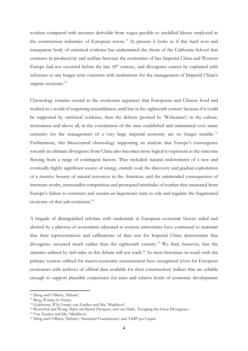workers compared with incomes derivable from wages payable to unskilled labour employed in the construction industries of European towns.<sup>11</sup> At present it looks as if this hard won and transparent body of statistical evidence has undermined the thesis of the California School that contrasts in productivity and welfare between the economies of late Imperial China and Western Europe had not occurred before the late  $18<sup>th</sup>$  century, and divergence cannot be explained with reference to any longer term contrasts with institutions for the management of Imperial China's organic economy.<sup>12</sup>

Chronology remains central to the revisionist argument that Europeans and Chinese lived and worked in a world of surprising resemblances until late in the eighteenth century because if it could be supported by statistical evidence, then the defects (posited by 'Weberians') in the culture, institutions and above all, in the constitution of the state established and maintained over many centuries for the management of a very large imperial economy are no longer tenable.<sup>13</sup> Furthermore, this Sinocentred chronology supporting an analysis that Europe's convergence towards an ultimate divergence from China also becomes more logical to represent as the outcome flowing from a range of contingent factors. They included: natural endowments of a new and eventually highly significant source of energy, namely coal; the discovery and gradual exploitation of a massive bounty of natural resources in the Americas; and the unintended consequences of interstate rivalry, mercantilist competition and protracted interludes of warfare that emanated from Europe's failure to construct and sustain an hegemonic state to rule and regulate the fragmented economy of that sub-continent.<sup>14</sup>

A brigade of distinguished scholars with credentials in European economic history aided and abetted by a platoon of economists educated at western universities have continued to maintain that their representations and calibrations of data sets for Imperial China demonstrate that divergence occurred much earlier than the eighteenth century.<sup>15</sup> We find, however, that the statistics utilized by *both* sides in this debate will not wash. <sup>16</sup> As most historians in touch with the primary sources utilized for macro-economic measurement have recognized (even for European economies with archives of official data available for their construction) indices that are reliable enough to support plausible conjectures for rates and relative levels of economic development

<sup>11</sup> Deng and O'Brien, 'Debate'.

<sup>12</sup> Berg, *Writing the History.*

<sup>13</sup> Goldstone, *Why Europe*; van Zanden and Ma, 'Maddison'.

<sup>14</sup> Rosenthal and Wong, *Before and Beyond Divergence*; and van Halte, 'Escaping the Great Divergence'.

<sup>15</sup> Van Zanden and Ma, 'Maddison'.

<sup>16</sup> Deng and O'Brien, 'Debate'; 'Statistical Foundations'; and 'GDP per Capita'.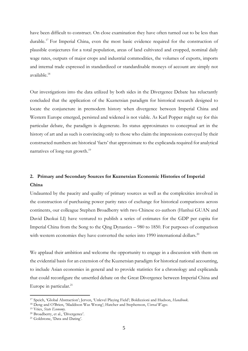have been difficult to construct. On close examination they have often turned out to be less than durable.<sup>17</sup> For Imperial China, even the most basic evidence required for the construction of plausible conjectures for a total population, areas of land cultivated and cropped, nominal daily wage rates, outputs of major crops and industrial commodities, the volumes of exports, imports and internal trade expressed in standardized or standardisable moneys of account are simply not available.<sup>18</sup>

Our investigations into the data utilized by both sides in the Divergence Debate has reluctantly concluded that the application of the Kuznetsian paradigm for historical research designed to locate the conjuncture in premodern history when divergence between Imperial China and Western Europe emerged, persisted and widened is not viable. As Karl Popper might say for this particular debate, the paradigm is degenerate. Its status approximates to conceptual art in the history of art and as such is convincing only to those who claim the impressions conveyed by their constructed numbers are historical 'facts' that approximate to the explicanda required for analytical narratives of long-run growth.<sup>19</sup>

## **2. Primary and Secondary Sources for Kuznetsian Economic Histories of Imperial China**

Undaunted by the paucity and quality of primary sources as well as the complexities involved in the construction of purchasing power parity rates of exchange for historical comparisons across continents, our colleague Stephen Broadberry with two Chinese co-authors (Hanhui GUAN and David Daokui LI) have ventured to publish a series of estimates for the GDP per capita for Imperial China from the Song to the Qing Dynasties – 980 to 1850. For purposes of comparison with western economies they have converted the series into 1990 international dollars.<sup>20</sup>

We applaud their ambition and welcome the opportunity to engage in a discussion with them on the evidential basis for an extension of the Kuznetsian paradigm for historical national accounting, to include Asian economies in general and to provide statistics for a chronology and explicanda that could reconfigure the unsettled debate on the Great Divergence between Imperial China and Europe in particular.<sup>21</sup>

<sup>17</sup> Speich, 'Global Abstraction'; Jerven, 'Unlevel Playing Field'; Boldizzioni and Hudson, *Handbook*.

<sup>18</sup> Deng and O'Brien, 'Maddison Was Wrong'; Hatcher and Stephenson, *Unreal Wages*.

<sup>19</sup> Vries, *State Economy*.

<sup>20</sup> Broadberry, et al., 'Divergence'.

<sup>21</sup> Goldstone, 'Data and Dating'.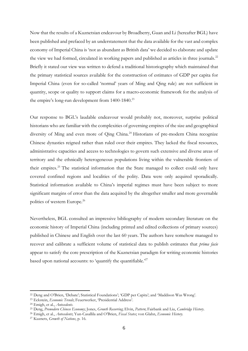Now that the results of a Kuznetsian endeavour by Broadberry, Guan and Li (hereafter BGL) have been published and prefaced by an understatement that the data available for the vast and complex economy of Imperial China is 'not as abundant as British data' we decided to elaborate and update the view we had formed, circulated in working papers and published as articles in three journals.<sup>22</sup> Briefly it stated our view was written to defend a traditional historiography which maintained that the primary statistical sources available for the construction of estimates of GDP per capita for Imperial China (even for so-called 'normal' years of Ming and Qing rule) are not sufficient in quantity, scope or quality to support claims for a macro-economic framework for the analysis of the empire's long-run development from 1400-1840.<sup>23</sup>

Our response to BGL's laudable endeavour would probably not, moreover, surprise political historians who are familiar with the complexities of governing empires of the size and geographical diversity of Ming and even more of Qing China.<sup>24</sup> Historians of pre-modern China recognize Chinese dynasties reigned rather than ruled over their empires. They lacked the fiscal resources, administrative capacities and access to technologies to govern such extensive and diverse areas of territory and the ethnically heterogeneous populations living within the vulnerable frontiers of their empires.<sup>25</sup> The statistical information that the State managed to collect could only have covered confined regions and localities of the polity. Data were only acquired sporadically. Statistical information available to China's imperial regimes must have been subject to more significant margins of error than the data acquired by the altogether smaller and more governable polities of western Europe.<sup>26</sup>

Nevertheless, BGL consulted an impressive bibliography of modern secondary literature on the economic history of Imperial China (including printed and edited collections of primary sources) published in Chinese and English over the last 60 years. The authors have somehow managed to recover and calibrate a sufficient volume of statistical data to publish estimates that *prima facie* appear to satisfy the core prescription of the Kuznetsian paradigm for writing economic histories based upon national accounts: to 'quantify the quantifiable.'<sup>27</sup>

<sup>22</sup> Deng and O'Brien, 'Debate'; Statistical Foundations'; 'GDP per Capita'; and 'Maddison Was Wrong'.

<sup>23</sup> Eckstein, *Economic Trends*; Feuerwerker, 'Presidential Address'.

<sup>24</sup> Emigh, et al., *Antecedents*.

<sup>25</sup> Deng, *Premodern Chinese Economy*; Jones, *Growth Recurring*; Elvin, *Pattern*; Fairbank and Liu, *Cambridge History*.

<sup>26</sup> Emigh, et al., *Antecedents*; Yun-Casallila and O'Brien, *Fiscal States*; von Glahn, *Economic History.*

<sup>27</sup> Kuznets, *Growth of Nations*, p. 16.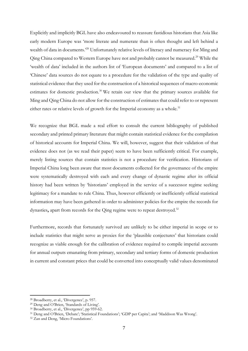Explicitly and implicitly BGL have also endeavoured to reassure fastidious historians that Asia like early modern Europe was 'more literate and numerate than is often thought and left behind a wealth of data in documents.<sup>28</sup> Unfortunately relative levels of literacy and numeracy for Ming and Qing China compared to Western Europe have not and probably cannot be measured.<sup>29</sup> While the 'wealth of data' included in the authors list of 'European documents' and compared to a list of 'Chinese' data sources do not equate to a procedure for the validation of the type and quality of statistical evidence that they used for the construction of a historical sequences of macro-economic estimates for domestic production.<sup>30</sup> We retain our view that the primary sources available for Ming and Qing China do not allow for the construction of estimates that could refer to or represent either rates or relative levels of growth for the Imperial economy as a whole.<sup>31</sup>

We recognize that BGL made a real effort to consult the current bibliography of published secondary and printed primary literature that might contain statistical evidence for the compilation of historical accounts for Imperial China. We will, however, suggest that their validation of that evidence does not (as we read their paper) seem to have been sufficiently critical. For example, merely listing sources that contain statistics is not a procedure for verification. Historians of Imperial China long been aware that most documents collected for the governance of the empire were systematically destroyed with each and every change of dynastic regime after its official history had been written by 'historians' employed in the service of a successor regime seeking legitimacy for a mandate to rule China. Thus, however efficiently or inefficiently official statistical information may have been gathered in order to administer policies for the empire the records for dynasties, apart from records for the Qing regime were to repeat destroyed.<sup>32</sup>

Furthermore, records that fortunately survived are unlikely to be either imperial in scope or to include statistics that might serve as proxies for the 'plausible conjectures' that historians could recognize as viable enough for the calibration of evidence required to compile imperial accounts for annual outputs emanating from primary, secondary and tertiary forms of domestic production in current and constant prices that could be converted into conceptually valid values denominated

<sup>28</sup> Broadberry, et al., 'Divergence', p. 957.

<sup>29</sup> Deng and O'Brien, 'Standards of Living'.

<sup>30</sup> Broadberry, et al., 'Divergence', pp 959-62.

<sup>31</sup> Deng and O'Brien, 'Debate'; 'Statistical Foundations'; 'GDP per Capita'; and 'Maddison Was Wrong'.

<sup>32</sup> Zan and Deng, 'Micro Foundations'.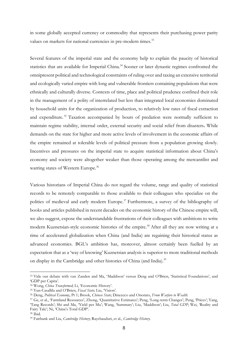in some globally accepted currency or commodity that represents their purchasing power parity values on markets for national currencies in pre-modern times.<sup>33</sup>

Several features of the imperial state and the economy help to explain the paucity of historical statistics that are available for Imperial China.<sup>34</sup> Sooner or later dynastic regimes confronted the omnipresent political and technological constraints of ruling over and taxing an extensive territorial and ecologically varied empire with long and vulnerable frontiers containing populations that were ethnically and culturally diverse. Contexts of time, place and political prudence confined their role in the management of a polity of interrelated but less than integrated local economies dominated by household units for the organization of production, to relatively low rates of fiscal extraction and expenditure.<sup>35</sup> Taxation accompanied by bouts of predation were normally sufficient to maintain regime stability, internal order, external security and social relief from disasters**.** While demands on the state for higher and more active levels of involvement in the economic affairs of the empire remained at tolerable levels of political pressure from a population growing slowly. Incentives and pressures on the imperial state to acquire statistical information about China's economy and society were altogether weaker than those operating among the mercantilist and warring states of Western Europe.<sup>36</sup>

Various historians of Imperial China do not regard the volume, range and quality of statistical records to be remotely comparable to those available to their colleagues who specialize on the polities of medieval and early modern Europe.<sup>37</sup> Furthermore, a survey of the bibliography of books and articles published in recent decades on the economic history of the Chinese empire will, we also suggest, expose the understandable frustrations of their colleagues with ambitions to write modern Kuznetsian-style economic histories of the empire.<sup>38</sup> After all they are now writing at a time of accelerated globalization when China (and India) are regaining their historical status as advanced economies. BGL's ambition has, moreover, almost certainly been fuelled by an expectation that as a 'way of knowing' Kuznetsian analysis is superior to more traditional methods on display in the Cambridge and other histories of China (and India).<sup>39</sup>

<sup>33</sup> Vide our debate with van Zanden and Ma, 'Maddison' versus Deng and O'Brien, 'Statistical Foundations', and 'GDP per Capita'.

<sup>34</sup> Wong, *China Transformed*; Li, 'Economic History'.

<sup>35</sup> Yun-Casallila and O'Brien, *Fiscal State*; Liu, 'Vision'.

<sup>36</sup> Deng, *Political Economy*, Pt 1; Brook, *Chinese State*; Dincecco and Onorato, *From Warfare to Wealth.*

<sup>37</sup> Ge, et al., 'Farmland Resources', Zhong, 'Quantitative Estimates'; Peng, 'Long-term Changes'; Peng, 'Prices'; Yang, 'Tang Records'; Shi and Ma, 'Yield per Mu'; Wang, 'Summary'; Liu, 'Maddison'; Liu, *Total GDP*; Wei, 'Reality and Fairy Tale'; Ni, 'China's Total GDP'.

<sup>38</sup> Ibid.

<sup>39</sup> Fairbank and Liu, *Cambridge History*; Raychauduri, et al., *Cambridge History.*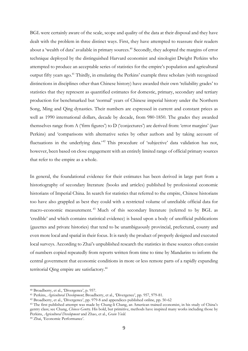BGL were certainly aware of the scale, scope and quality of the data at their disposal and they have dealt with the problem in three distinct ways. First, they have attempted to reassure their readers about a 'wealth of data' available in primary sources.<sup>40</sup> Secondly, they adopted the margins of error technique deployed by the distinguished Harvard economist and sinologist Dwight Perkins who attempted to produce an acceptable series of statistics for the empire's population and agricultural output fifty years ago.<sup>41</sup> Thirdly, in emulating the Perkins' example three scholars (with recognized distinctions in disciplines other than Chinese history) have awarded their own 'reliability grades' to statistics that they represent as quantified estimates for domestic, primary, secondary and tertiary production for benchmarked but 'normal' years of Chinese imperial history under the Northern Song, Ming and Qing dynasties. Their numbers are expressed in current and constant prices as well as 1990 international dollars, decade by decade, from 980-1850. The grades they awarded themselves range from A ('firm figures') to D ('conjectures') are derived from: 'error margins' (*pace* Perkins) and 'comparisons with alternative series by other authors and by taking account of fluctuations in the underlying data.<sup>42</sup> This procedure of 'subjective' data validation has not, however, been based on close engagement with an entirely limited range of official primary sources that refer to the empire as a whole.

In general, the foundational evidence for their estimates has been derived in large part from a historiography of secondary literature (books and articles) published by professional economic historians of Imperial China. In search for statistics that referred to the empire, Chinese historians too have also grappled as best they could with a restricted volume of unreliable official data for macro-economic measurement. <sup>43</sup> Much of this secondary literature (referred to by BGL as 'credible' and which contains statistical evidence) is based upon a body of unofficial publications (gazettes and private histories) that tend to be unambiguously provincial, prefectural, county and even more local and spatial in their focus. It is rarely the product of properly designed and executed local surveys. According to Zhai's unpublished research the statistics in these sources often consist of numbers copied repeatedly from reports written from time to time by Mandarins to inform the central government that economic conditions in more or less remote parts of a rapidly expanding territorial Qing empire are satisfactory. 44

<sup>40</sup> Broadberry, et al., 'Divergence', p. 957.

<sup>41</sup> Perkins, *Agricultural Development*; Broadberry, et al., 'Divergence', pp. 957, 979-81.

<sup>42</sup> Broadberry, et al., 'Divergence', pp. 979-8 and appendices published online, pp. 50-62

<sup>43</sup> The first published attempt was made by Chung-li Chang, an American trained economist, in his study of China's gentry class; see Chang, *Chinese Gentry*. His bold, but primitive, methods have inspired many works including those by Perkins, *Agricultural Development* and Zhao, et al., *Grain Yield*.

<sup>44</sup> Zhai, 'Economic Performance'*.*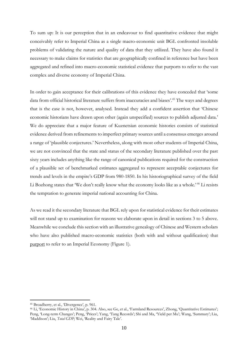To sum up: It is our perception that in an endeavour to find quantitative evidence that might conceivably refer to Imperial China as a single macro-economic unit BGL confronted insoluble problems of validating the nature and quality of data that they utilized. They have also found it necessary to make claims for statistics that are geographically confined in reference but have been aggregated and refined into macro-economic statistical evidence that purports to refer to the vast complex and diverse economy of Imperial China.

In order to gain acceptance for their calibrations of this evidence they have conceded that 'some data from official historical literature suffers from inaccuracies and biases'. <sup>45</sup> The ways and degrees that is the case is not, however, analysed. Instead they add a confident assertion that 'Chinese economic historians have drawn upon other (again unspecified) sources to publish adjusted data.' We do appreciate that a major feature of Kuznetsian economic histories consists of statistical evidence derived from refinements to imperfect primary sources until a consensus emerges around a range of 'plausible conjectures.' Nevertheless, along with most other students of Imperial China, we are not convinced that the state and status of the secondary literature published over the past sixty years includes anything like the range of canonical publications required for the construction of a plausible set of benchmarked estimates aggregated to represent acceptable conjectures for trends and levels in the empire's GDP from 980-1850. In his historiographical survey of the field Li Bozhong states that 'We don't really know what the economy looks like as a whole.<sup>46</sup> Li resists the temptation to generate imperial national accounting for China.

As we read it the secondary literature that BGL rely upon for statistical evidence for their estimates will not stand up to examination for reasons we elaborate upon in detail in sections 3 to 5 above. Meanwhile we conclude this section with an illustrative genealogy of Chinese and Western scholars who have also published macro-economic statistics (both with and without qualification) that purport to refer to an Imperial Economy (Figure 1).

<sup>45</sup> Broadberry, et al., 'Divergence', p. 961.

<sup>46</sup> Li, 'Economic History in China', p. 304. Also, see Ge, et al., 'Farmland Resources', Zhong, 'Quantitative Estimates'; Peng, 'Long-term Changes'; Peng, 'Prices'; Yang, 'Tang Records'; Shi and Ma, 'Yield per Mu'; Wang, 'Summary'; Liu, 'Maddison'; Liu, *Total GDP*; Wei, 'Reality and Fairy Tale'.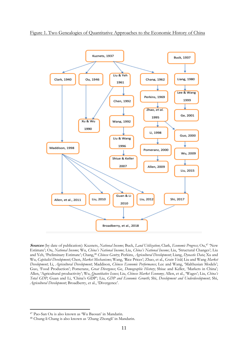



**Sources** (by date of publication): Kuznets, *National Income*; Buck, *Land Utilization*; Clark, *Economic Progress*; Ou,<sup>47</sup> 'New Estimate'; Ou, *National Income*; Wu, *China's National Income*; Liu, *China's National Income*; Liu, 'Structural Changes'; Liu and Yeh, 'Preliminary Estimate'; Chang,<sup>48</sup> *Chinese Gentry*; Perkins, *Agricultural Development*; Liang, *Dynastic Data*; Xu and Wu, *Capitalist Development*; Chen, *Market Mechanisms*; Wang, 'Rice Prices'; Zhao, et al., *Grain Yield*; Liu and Wang *Market Development*; Li, *Agricultural Development*; Maddison, *Chinese Economic Performance*; Lee and Wang, 'Malthusian Models'; Guo, 'Food Production'; Pomeranz, *Great Divergence*; Ge, *Demographic History*; Shiue and Keller, 'Markets in China'; Allen, 'Agricultural productivity'; Wu, *Quantitative Issues*; Liu, *Chinese Market Economy*; Allen, et al., 'Wages'; Liu, *China's Total GDP*; Guan and Li, 'China's GDP'; Liu, *GDP and Economic Growth*; Shi, *Development and Underdevelopment*; Shi, *Agricultural Development*; Broadberry, et al., 'Divergence'.

<sup>47</sup> Pao-San Ou is also known as 'Wu Baosan' in Mandarin.

<sup>48</sup> Chung-li Chang is also known as 'Zhang Zhongli' in Mandarin.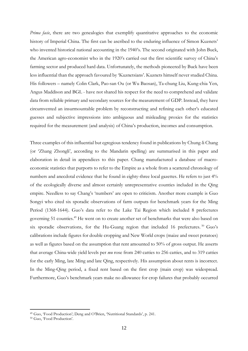*Prima facie*, there are two genealogies that exemplify quantitative approaches to the economic history of Imperial China. The first can be ascribed to the enduring influence of Simon Kuznets' who invented historical national accounting in the 1940's. The second originated with John Buck, the American agro-economist who in the 1920's carried out the first scientific survey of China's farming sector and produced hard data. Unfortunately, the methods pioneered by Buck have been less influential than the approach favoured by 'Kuznetsians'. Kuznets himself never studied China. His followers – namely Colin Clark, Pao-san Ou (or Wu Baosan), Ta-chung Liu, Kung-chia Yen, Angus Maddison and BGL - have not shared his respect for the need to comprehend and validate data from reliable primary and secondary sources for the measurement of GDP. Instead, they have circumvented an insurmountable problem by reconstructing and refining each other's educated guesses and subjective impressions into ambiguous and misleading proxies for the statistics required for the measurement (and analysis) of China's production, incomes and consumption.

Three examples of this influential but egregious tendency found in publications by Chung-li Chang (or 'Zhang Zhongli', according to the Mandarin spelling) are summarised in this paper and elaboration in detail in appendices to this paper. Chang manufactured a database of macroeconomic statistics that purports to refer to the Empire as a whole from a scattered chronology of numbers and anecdotal evidence that he found in eighty-three local gazettes. He refers to just 4% of the ecologically diverse and almost certainly unrepresentative counties included in the Qing empire. Needless to say Chang's 'numbers' are open to criticism. Another more example is Guo Songyi who cited six sporadic observations of farm outputs for benchmark years for the Ming Period (1368-1644). Guo's data refer to the Lake Tai Region which included 8 prefectures governing 51 counties. <sup>49</sup> He went on to create another set of benchmarks that were also based on six sporadic observations, for the Hu-Guang region that included 16 prefectures.<sup>50</sup> Guo's calibrations include figures for double cropping and New World crops (maize and sweet potatoes) as well as figures based on the assumption that rent amounted to 50% of gross output. He asserts that average China-wide yield levels per *mu* rose from 240 catties to 256 catties, and to 319 catties for the early Ming, late Ming and late Qing, respectively. His assumption about rents is incorrect. In the Ming-Qing period, a fixed rent based on the first crop (main crop) was widespread. Furthermore, Guo's benchmark years make no allowance for crop failures that probably occurred

<sup>49</sup> Guo, 'Food Production'; Deng and O'Brien, 'Nutritional Standards', p. 241.

<sup>50</sup> Guo, 'Food Production'.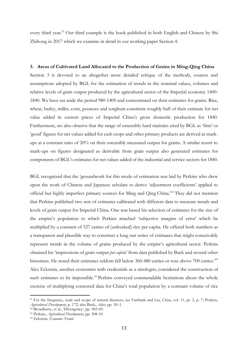every third year.<sup>51</sup> Our third example is the book published in both English and Chinese by Shi Zhihong in 2017 which we examine in detail in our working paper Section 4.

#### **3. Areas of Cultivated Land Allocated to the Production of Grains in Ming-Qing China**

Section 3 is devoted to an altogether more detailed critique of the methods, sources and assumptions adopted by BGL for the estimation of trends in the nominal values, volumes and relative levels of grain output produced by the agricultural sector of the Imperial economy 1400- 1840. We have set aside the period 980-1400 and concentrated on their estimates for grains. Rice, wheat, barley, millet, corn, potatoes and sorghum constitute roughly half of their estimate for net value added in current prices of Imperial China's gross domestic production for 1840. Furthermore, we also observe that the range of ostensibly hard statistics cited by BGL as 'firm' or 'good' figures for net values added for cash crops and other primary products are derived as markups at a constant ratio of 20% on their ostensibly measured output for grains. A similar resort to mark-ups on figures designated as derivable from grain output also generated estimates for components of BGL's estimates for net values added of the industrial and service sectors for 1840.

BGL recognized that the 'groundwork for this mode of estimation was laid by Perkins who drew upon the work of Chinese and Japanese scholars to derive 'adjustment coefficients' applied to official but highly imperfect primary sources for Ming and Qing China.' <sup>52</sup> They did not mention that Perkins published two sets of estimates calibrated with different data to measure trends and levels of grain output for Imperial China. One was based his selection of estimates for the size of the empire's population to which Perkins attached 'subjective margins of error' which he multiplied by a constant of 527 catties of (unhusked) rice per capita. He offered both numbers as a transparent and plausible way to construct a long run series of estimates that might conceivably represent trends in the volume of grains produced by the empire's agricultural sector. Perkins obtained his 'impressions of grain output *per capita*' from data published by Buck and several other historians. He noted their estimates seldom fell below 360-480 catties or rose above 700 catties.<sup>53</sup> Alex Eckstein, another economist with credentials as a sinologist, considered the construction of such estimates to be impossible.<sup>54</sup> Perkins conveyed commendable hesitations about the whole exercise of multiplying contested data for China's total population by a constant volume of rice

<sup>51</sup> For the frequency, scale and scope of natural disasters, see Fairbank and Liu, *China*, vol. 11, pt. 2, p. 7; Perkins, *Agricultural Development*, p. 172; also Buck, *Atlas*, pp. 30–1.

<sup>&</sup>lt;sup>52</sup> Broadberry, et al., 'Divergence', pp. 965-69.

<sup>53</sup> Perkins, *Agricultural Development*, pp. 308-10.

<sup>54</sup> Eckstein, *Economic Trends*.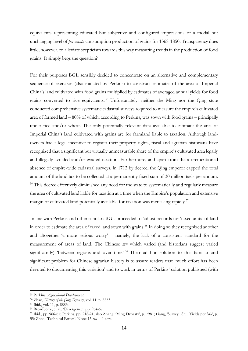equivalents representing educated but subjective and configured impressions of a modal but unchanging level of *per capita* consumption production of grains for 1368-1850. Transparency does little, however, to alleviate scepticism towards this way measuring trends in the production of food grains. It simply begs the question?

For their purposes BGL sensibly decided to concentrate on an alternative and complementary sequence of exercises (also initiated by Perkins) to construct estimates of the area of Imperial China's land cultivated with food grains multiplied by estimates of averaged annual yields for food grains converted to rice equivalents. <sup>55</sup> Unfortunately, neither the Ming nor the Qing state conducted comprehensive systematic cadastral surveys required to measure the empire's cultivated area of farmed land – 80% of which, according to Perkins, was sown with food grains – principally under rice and/or wheat. The only potentially relevant data available to estimate the area of Imperial China's land cultivated with grains are for farmland liable to taxation. Although landowners had a legal incentive to register their property rights, fiscal and agrarian historians have recognized that a significant but virtually unmeasurable share of the empire's cultivated area legally and illegally avoided and/or evaded taxation. Furthermore, and apart from the aforementioned absence of empire-wide cadastral surveys, in 1712 by decree, the Qing emperor capped the total amount of the land tax to be collected at a permanently fixed sum of 30 million taels per annum. <sup>56</sup> This decree effectively diminished any need for the state to systematically and regularly measure the area of cultivated land liable for taxation at a time when the Empire's population and extensive margin of cultivated land potentially available for taxation was increasing rapidly.<sup>57</sup>

In line with Perkins and other scholars BGL proceeded to 'adjust' records for 'taxed units' of land in order to estimate the area of taxed land sown with grains.<sup>58</sup> In doing so they recognized another and altogether 'a more serious worry' – namely, the lack of a consistent standard for the measurement of areas of land. The Chinese *mu* which varied (and historians suggest varied significantly) 'between regions and over time'.<sup>59</sup> Their ad hoc solution to this familiar and significant problem for Chinese agrarian history is to assure readers that 'much effort has been devoted to documenting this variation' and to work in terms of Perkins' solution published (with

<sup>55</sup> Perkins, *Agricultural Development.*

<sup>56</sup> Zhao, *History of the Qing Dynasty*, vol. 11, p. 8853.

<sup>57</sup> Ibid., vol. 11, p. 8883.

<sup>58</sup> Broadberry, et al., 'Divergence', pp. 964-67.

<sup>59</sup> Ibid., pp. 966-67; Perkins, pp. 218-21; also Zhang, 'Ming Dynasty', p. 7981; Liang, 'Survey'; Shi, 'Yields per *Mu*', p. 55; Zhao, 'Technical Errors'. Note: 15 *mu* = 1 acre.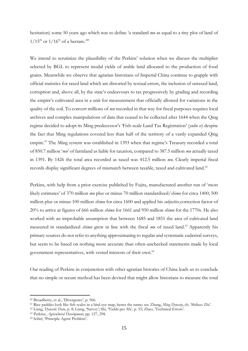hesitation) some 50 years ago which was to define 'a standard *mu* as equal to a tiny plot of land of  $1/15^{\text{th}}$  or  $1/16^{\text{th}}$  of a hectare.<sup>'60</sup>

We intend to scrutinize the plausibility of the Perkins' solution when we discuss the multiplier selected by BGL to represent modal yields of arable land allocated to the production of food grains. Meanwhile we observe that agrarian historians of Imperial China continue to grapple with official statistics for taxed land which are distorted by textual errors, the inclusion of untaxed land, corruption and, above all, by the state's endeavours to tax progressively by grading and recording the empire's cultivated area in a unit for measurement that officially allowed for variations in the quality of the soil. To convert millions of *mu* recorded in that way for fiscal purposes requires local archives and complex manipulations of data that ceased to be collected after 1644 when the Qing regime decided to adopt its Ming predecessor's 'Fish-scale Land Tax Registration' (*yulin ce*) despite the fact that Ming regulations covered less than half of the territory of a vastly expanded Qing empire.<sup>61</sup> The Ming system was established in 1393 when that regime's Treasury recorded a total of 850.7 million '*mu*' of farmland as liable for taxation, compared to 387.5 million *mu* actually taxed in 1391. By 1426 the total area recorded as taxed was 412.5 million *mu*. Clearly imperial fiscal records display significant degrees of mismatch between taxable, taxed and cultivated land.<sup>62</sup>

Perkins, with help from a prior exercise published by Fujita, manufactured another run of 'most likely estimates' of 370 million *mu* plus or minus 70 million standardized/*shimu* for circa 1400; 500 million plus or minus 100 million *shimu* for circa 1600 and applied his *subjective* correction factor of 20% to arrive at figures of 666 million *shimu* for 1661 and 950 million *shimu* for the 1770s. He also worked with an improbable assumption that between 1685 and 1851 the area of cultivated land measured in standardized *shimu* grew in line with the fiscal *mu* of taxed land.<sup>63</sup> Apparently his primary sources do not refer to anything approximating to regular and systematic cadastral surveys, but seem to be based on nothing more accurate than often-unchecked statements made by local government representatives, with vested interests of their own. 64

Our reading of Perkins in conjunction with other agrarian histories of China leads us to conclude that no simple or secure method has been devised that might allow historians to measure the total

<sup>60</sup> Broadberry, et al., 'Divergence', p. 966.

<sup>61</sup> Rice paddies look like fish scales in a bird-eye map, hence the name; see Zhang, *Ming Dynasty*, ch. 'Shihuo Zhi'.

<sup>62</sup> Liang, *Dynastic Data*, p. 8; Liang, 'Survey'; Shi, 'Yields per *Mu*', p. 55; Zhao, 'Technical Errors'.

<sup>63</sup> Perkins, *Agricultural Development*, pp. 127, 298.

<sup>64</sup> Sobel, 'Principle-Agent Problem'.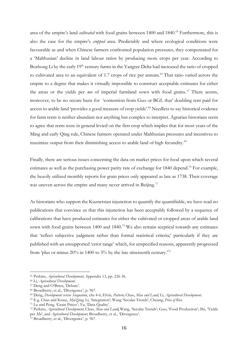area of the empire's land *cultivated* with food grains between 1400 and 1840. <sup>65</sup> Furthermore, this is also the case for the empire's *cropped* area. Predictably and where ecological conditions were favourable as and when Chinese farmers confronted population pressures, they compensated for a 'Malthusian' decline in land labour ratios by producing more crops per year. According to Bozhong Li by the early 19<sup>th</sup> century farms in the Yangtze Delta had increased the ratio of cropped to cultivated area to an equivalent of 1.7 crops of rice per annum.<sup>66</sup> That ratio varied across the empire to a degree that makes it virtually impossible to construct acceptable estimates for either the areas or the yields per *mu* of imperial farmland sown with food grains.<sup>67</sup> There seems, moreover, to be no secure basis for 'contention from Guo or BGL that' doubling rent paid for access to arable land 'provides a good measure of crop yields'. <sup>68</sup> Needless to say historical evidence for farm rents is neither abundant nor anything but complex to interpret. Agrarian historians seem to agree that rents were in general levied on the first crop which implies that for most years of the Ming and early Qing rule, Chinese farmers operated under Malthusian pressures and incentives to maximize output from their diminishing access to arable land of high fecundity.<sup>69</sup>

Finally, there are serious issues concerning the data on market prices for food upon which several estimates as well as the purchasing power parity rate of exchange for 1840 depend.<sup>70</sup> For example, the heavily utilized monthly reports for grain prices only appeared as late as 1738. Their coverage was uneven across the empire and many never arrived in Beijing.<sup>71</sup>

As historians who support the Kuznetsian injunction to quantify the quantifiable, we have read no publications that convince us that this injunction has been acceptably followed by a sequence of calibrations that have produced estimates for either the cultivated or cropped areas of arable land sown with food grains between 1400 and 1840.<sup>72</sup> We also remain sceptical towards any estimates that 'reflect subjective judgment rather than formal statistical criteria;' particularly if they are published with an unsupported 'error range' which, for unspecified reasons, apparently progressed from 'plus or minus 20% in 1400 to 5% by the late nineteenth century.<sup>73</sup>

<sup>65</sup> Perkins, *Agricultural Development*, Appendix 13, pp. 226-36.

<sup>66</sup> Li, *Agricultural Development.*

<sup>67</sup> Deng and O'Brien, 'Debate'.

<sup>68</sup> Broadberry, et al., 'Divergence', p. 967.

<sup>69</sup> Deng, *Development versus Stagnation*, chs 4-6; Elvin, *Pattern*; Chao, *Man and Land*; Li, *Agricultural Development*.

<sup>70</sup> E.g. Chan and Kraus, *Mid-Qing*; Li, 'Integration'; Wang 'Secular Trends'; Cheung, *Price of Rice*.

<sup>71</sup> Lu and Peng, 'Grain Prices'; Yu, 'Data Quality'.

<sup>72</sup> Perkins, *Agricultural Development*; Chao, *Man and Land***;** Wang, 'Secular Trends'; Guo, 'Food Production'; Shi, 'Yields per *Mu*', and *Agricultural Development*; Broadberry, et al., 'Divergence'.

<sup>73</sup> Broadberry, et al., 'Divergence', p. 967.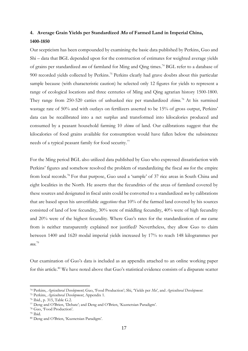# **4. Average Grain Yields per Standardized Mu of Farmed Land in Imperial China, 1400-1850**

Our scepticism has been compounded by examining the basic data published by Perkins, Guo and Shi – data that BGL depended upon for the construction of estimates for weighted average yields of grains per standardized *mu* of farmland for Ming and Qing times.<sup>74</sup> BGL refer to a database of 900 recorded yields collected by Perkins. <sup>75</sup> Perkins clearly had grave doubts about this particular sample because (with characteristic caution) he selected only 12 figures for yields to represent a range of ecological locations and three centuries of Ming and Qing agrarian history 1500-1800. They range from 250-520 catties of unhusked rice per standardized *shimu*. <sup>76</sup> At his surmised wastage rate of 50% and with outlays on fertilizers asserted to be 15% of gross output, Perkins' data can be recalibrated into a net surplus and transformed into kilocalories produced and consumed by a peasant household farming 10 *shimu* of land. Our calibrations suggest that the kilocalories of food grains available for consumption would have fallen below the subsistence needs of a typical peasant family for food security.<sup>77</sup>

For the Ming period BGL also utilized data published by Guo who expressed dissatisfaction with Perkins' figures and somehow resolved the problem of standardizing the fiscal *mu* for the empire from local records.<sup>78</sup> For that purpose, Guo used a 'sample' of 37 rice areas in South China and eight localities in the North. He asserts that the fecundities of the areas of farmland covered by these sources and designated in fiscal units could be converted to a standardized *mu* by calibrations that are based upon his unverifiable *suggestions* that 10% of the farmed land covered by his sources consisted of land of low fecundity, 30% were of middling fecundity, 40% were of high fecundity and 20% were of the highest fecundity. Where Guo's rates for the standardization of *mu* came from is neither transparently explained nor justified? Nevertheless, they allow Guo to claim between 1400 and 1620 modal imperial yields increased by 17% to reach 148 kilogrammes per *mu*. 79

Our examination of Guo's data is included as an appendix attached to an online working paper for this article.<sup>80</sup> We have noted above that Guo's statistical evidence consists of a disparate scatter

<sup>74</sup> Perkins, *Agricultural Development*; Guo, 'Food Production'; Shi, 'Yields per *Mu*', and *Agricultural Development*.

<sup>75</sup> Perkins, *Agricultural Development*, Appendix 1.

<sup>76</sup> Ibid., p. 315, Table G.2.

<sup>77</sup> Deng and O'Brien, 'Debate'; and Deng and O'Brien, 'Kuznetsian Paradigm'.

<sup>78</sup> Guo, 'Food Production'.

<sup>79</sup> Ibid.

<sup>80</sup> Deng and O'Brien, 'Kuznetsian Paradigm'.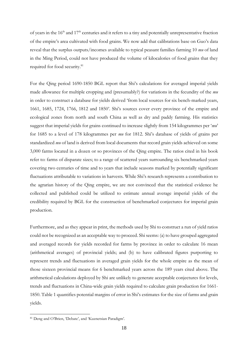of years in the  $16<sup>th</sup>$  and  $17<sup>th</sup>$  centuries and it refers to a tiny and potentially unrepresentative fraction of the empire's area cultivated with food grains. We now add that calibrations base on Guo's data reveal that the surplus outputs/incomes available to typical peasant families farming 10 *mu* of land in the Ming Period, could not have produced the volume of kilocalories of food grains that they required for food security.<sup>81</sup>

For the Qing period 1690-1850 BGL report that Shi's calculations for averaged imperial yields made allowance for multiple cropping and (presumably?) for variations in the fecundity of the *mu* in order to construct a database for yields derived 'from local sources for six bench-marked years, 1661, 1685, 1724, 1766, 1812 and 1850'. Shi's sources cover every province of the empire and ecological zones from north and south China as well as dry and paddy farming. His statistics suggest that imperial yields for grains continued to increase slightly from 154 kilogrammes per '*mu*' for 1685 to a level of 178 kilogrammes per *mu* for 1812. Shi's database of yields of grains per standardized *mu* of land is derived from local documents that record grain yields achieved on some 3,000 farms located in a dozen or so provinces of the Qing empire. The ratios cited in his book refer to: farms of disparate sizes; to a range of scattered years surrounding six benchmarked years covering two centuries of time and to years that include seasons marked by potentially significant fluctuations attributable to variations in harvests. While Shi's research represents a contribution to the agrarian history of the Qing empire, we are not convinced that the statistical evidence he collected and published could be utilized to estimate annual average imperial yields of the credibility required by BGL for the construction of benchmarked conjectures for imperial grain production.

Furthermore, and as they appear in print, the methods used by Shi to construct a run of yield ratios could not be recognized as an acceptable way to proceed. Shi seems: (a) to have grouped aggregated and averaged records for yields recorded for farms by province in order to calculate 16 mean (arithmetical averages) of provincial yields; and (b) to have calibrated figures purporting to represent trends and fluctuations in averaged grain yields for the whole empire as the mean of those sixteen provincial means for 6 benchmarked years across the 189 years cited above. The arithmetical calculations deployed by Shi are unlikely to generate acceptable conjectures for levels, trends and fluctuations in China-wide grain yields required to calculate grain production for 1661- 1850. Table 1 quantifies potential margins of error in Shi's estimates for the size of farms and grain yields.

<sup>81</sup> Deng and O'Brien, 'Debate', and 'Kuznetsian Paradigm'.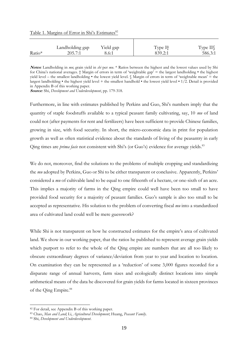|        | Landholding gap | Yield gap | Type I† | Type $II\$ |
|--------|-----------------|-----------|---------|------------|
| Ratio* | 205.7:1         | 8.6:1     | 839.2:1 | 586.3:1    |

Table 1. Margins of Error in Shi's Estimates<sup>82</sup>

**Notes***:* Landholding in *mu*; grain yield in *shi* per *mu*. \* Ratios between the highest and the lowest values used by Shi for China's national averages. † Margin of errors in term of 'weightable gap' = the largest landholding • the highest yield level – the smallest landholding • the lowest yield level. § Margin of errors in term of 'weightable mean' = the largest landholding • the highest yield level + the smallest handhold • the lowest yield level • 1/2. Detail is provided in Appendix B of this working paper.

**Source***:* Shi, *Development and Underdevelopment*, pp. 179-318.

Furthermore, in line with estimates published by Perkins and Guo, Shi's numbers imply that the quantity of staple foodstuffs available to a typical peasant family cultivating, say, 10 *mu* of land could not (after payments for rent and fertilizers) have been sufficient to provide Chinese families, growing in size, with food security. In short, the micro-economic data in print for population growth as well as often statistical evidence about the standards of living of the peasantry in early Qing times are *prima facie* not consistent with Shi's (or Guo's) evidence for average yields.<sup>83</sup>

We do not, moreover, find the solutions to the problems of multiple cropping and standardizing the *mu* adopted by Perkins, Guo or Shi to be either transparent or conclusive. Apparently, Perkins' considered a *mu* of cultivable land to be equal to one fifteenth of a hectare, or one-sixth of an acre. This implies a majority of farms in the Qing empire could well have been too small to have provided food security for a majority of peasant families. Guo's sample is also too small to be accepted as representative. His solution to the problem of converting fiscal *mu* into a standardized area of cultivated land could well be mere guesswork?

While Shi is not transparent on how he constructed estimates for the empire's area of cultivated land. We show in our working paper, that the ratios he published to represent average grain yields which purport to refer to the whole of the Qing empire are numbers that are all too likely to obscure extraordinary degrees of variance/deviation from year to year and location to location. On examination they can be represented as a 'reduction' of some 3,000 figures recorded for a disparate range of annual harvests, farm sizes and ecologically distinct locations into simple arithmetical means of the data he discovered for grain yields for farms located in sixteen provinces of the Oing Empire.<sup>84</sup>

<sup>82</sup> For detail, see Appendix B of this working paper.

<sup>83</sup> Chao, *Man and Land*; Li, *Agricultural Development*; Huang, *Peasant Family*.

<sup>84</sup> Shi, *Development and Underdevelopment*.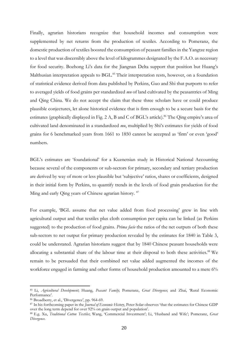Finally, agrarian historians recognize that household incomes and consumption were supplemented by net returns from the production of textiles. According to Pomeranz, the domestic production of textiles boosted the consumption of peasant families in the Yangtze region to a level that was discernibly above the level of kilogrammes designated by the F.A.O. as necessary for food security. Bozhong Li's data for the Jiangnan Delta support that position but Huang's Malthusian interpretation appeals to BGL.<sup>85</sup> Their interpretation rests, however, on a foundation of statistical evidence derived from data published by Perkins, Guo and Shi that purports to refer to averaged yields of food grains per standardized *mu* of land cultivated by the peasantries of Ming and Qing China. We do not accept the claim that these three scholars have or could produce plausible conjectures, let alone historical evidence that is firm enough to be a secure basis for the estimates (graphically displayed in Fig. 2 A, B and C of BGL's article). <sup>86</sup> The Qing empire's area of cultivated land denominated in a standardized *mu*, multiplied by Shi's estimates for yields of food grains for 6 benchmarked years from 1661 to 1850 cannot be accepted as 'firm' or even 'good' numbers.

BGL's estimates are 'foundational' for a Kuznetsian study in Historical National Accounting because several of the components or sub-sectors for primary, secondary and tertiary production are derived by way of more or less plausible but 'subjective' ratios, shares or coefficients, designed in their initial form by Perkins, to quantify trends in the levels of food grain production for the Ming and early Qing years of Chinese agrarian history. <sup>87</sup>

For example, 'BGL assume that net value added from food processing' grew in line with agricultural output and that textiles plus cloth consumption per capita can be linked (as Perkins suggested) to the production of food grains. *Prima facie* the ratios of the net outputs of both these sub-sectors to net output for primary production revealed by the estimates for 1840 in Table 3, could be understated. Agrarian historians suggest that by 1840 Chinese peasant households were allocating a substantial share of the labour time at their disposal to both these activities.<sup>88</sup> We remain to be persuaded that their combined net value added augmented the incomes of the workforce engaged in farming and other forms of household production amounted to a mere 6%

<sup>85</sup> Li, *Agricultural Development*; Huang, *Peasant Family*; Pomeranz, *Great Divergence*; and Zhai, 'Rural Economic Performance'.

<sup>86</sup> Broadberry, et al., 'Divergence', pp. 964-69.

<sup>87</sup> In his forthcoming paper in the *Journal of Economic History*, Peter Solar observes 'that the estimates for Chinese GDP over the long term depend for over 92% on grain output and population'.

<sup>88</sup> E.g. Xu, *Traditional Cotton Textiles*; Wang, 'Commercial Investment'; Li, 'Husband and Wife'; Pomeranz, *Great Divergence*.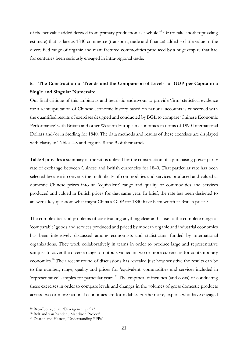of the net value added derived from primary production as a whole. <sup>89</sup> Or (to take another puzzling estimate) that as late as 1840 commerce (transport, trade and finance) added so little value to the diversified range of organic and manufactured commodities produced by a huge empire that had for centuries been seriously engaged in intra-regional trade.

## **5. The Construction of Trends and the Comparison of Levels for GDP per Capita in a Single and Singular Numeraire.**

Our final critique of this ambitious and heuristic endeavour to provide 'firm' statistical evidence for a reinterpretation of Chinese economic history based on national accounts is concerned with the quantified results of exercises designed and conducted by BGL to compare 'Chinese Economic Performance' with Britain and other Western European economies in terms of 1990 International Dollars and/or in Sterling for 1840. The data methods and results of these exercises are displayed with clarity in Tables 4-8 and Figures 8 and 9 of their article.

Table 4 provides a summary of the ratios utilized for the construction of a purchasing power parity rate of exchange between Chinese and British currencies for 1840. That particular rate has been selected because it converts the multiplicity of commodities and services produced and valued at domestic Chinese prices into an 'equivalent' range and quality of commodities and services produced and valued in British prices for that same year. In brief, the rate has been designed to answer a key question: what might China's GDP for 1840 have been worth at British prices?

The complexities and problems of constructing anything clear and close to the complete range of 'comparable' goods and services produced and priced by modern organic and industrial economies has been intensively discussed among economists and statisticians funded by international organizations. They work collaboratively in teams in order to produce large and representative samples to cover the diverse range of outputs valued in two or more currencies for contemporary economies.<sup>90</sup> Their recent round of discussions has revealed just how sensitive the results can be to the number, range, quality and prices for 'equivalent' commodities and services included in 'representative' samples for particular years.<sup>91</sup> The empirical difficulties (and costs) of conducting these exercises in order to compare levels and changes in the volumes of gross domestic products across two or more national economies are formidable. Furthermore, experts who have engaged

<sup>89</sup> Broadberry, et al., 'Divergence', p. 973.

<sup>90</sup> Bolt and van Zanden, 'Maddison Project'.

<sup>91</sup> Deaton and Heston, 'Understanding PPPs'.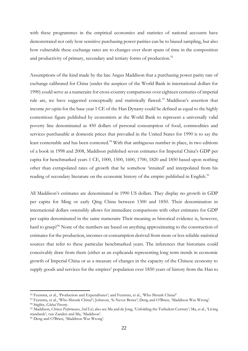with these programmes in the empirical economics and statistics of national accounts have demonstrated not only how sensitive purchasing power parities can be to biased sampling, but also how vulnerable these exchange rates are to changes over short spans of time in the composition and productivity of primary, secondary and tertiary forms of production.<sup>92</sup>

Assumptions of the kind made by the late Angus Maddison that a purchasing power parity rate of exchange calibrated for China (under the auspices of the World Bank in international dollars for 1990) could serve as a numeraire for cross-country comparisons over eighteen centuries of imperial rule are, we have suggested conceptually and statistically flawed.<sup>93</sup> Maddison's assertion that income *per capita* for the base year 1 CE of the Han Dynasty could be defined as equal to the highly contentious figure published by economists at the World Bank to represent a universally valid poverty line denominated as 450 dollars of personal consumption of food, commodities and services purchasable at domestic prices that prevailed in the United States for 1990 is to say the least contestable and has been contested.<sup>94</sup> With that ambiguous number in place, in two editions of a book in 1998 and 2008, Maddison published seven estimates for Imperial China's GDP per capita for benchmarked years 1 CE, 1000, 1500, 1600, 1700, 1820 and 1850 based upon nothing other than extrapolated rates of growth that he somehow 'intuited' and interpolated from his reading of secondary literature on the economic history of the empire published in English.<sup>95</sup>

All Maddison's estimates are denominated in 1990 US dollars. They display no growth in GDP per capita for Ming or early Qing China between 1300 and 1850. Their denomination in international dollars ostensibly allows for immediate comparisons with other estimates for GDP per capita denominated in the same numeraire Their meaning as historical evidence is, however, hard to grasp?<sup>96</sup> None of the numbers are based on anything approximating to the construction of estimates for the production, incomes or consumption derived from more or less reliable statistical sources that refer to these particular benchmarked years. The inferences that historians could conceivably draw from them (either as an explicanda representing long term trends in economic growth of Imperial China or as a measure of changes in the capacity of the Chinese economy to supply goods and services for the empires' population over 1850 years of history from the Han to

<sup>92</sup> Feenstra, et al., 'Production and Expenditures'; and Feenstra, et al., 'Who Shrunk China?'

<sup>93</sup> Feenstra, et al., 'Who Shrunk China?'; Johnson, 'Is Never Better'; Deng and O'Brien, 'Maddison Was Wrong'.

<sup>94</sup> Stiglitz, *Global Poverty*.

<sup>95</sup> Maddison, *Chinese Performance*, *2nd Ed.*; also see Ma and de Jong, 'Unfolding the Turbulent Century'; Ma, et al., 'Living standards'; van Zanden and Ma, 'Maddison'.

<sup>96</sup> Deng and O'Brien, 'Maddison Was Wrong'.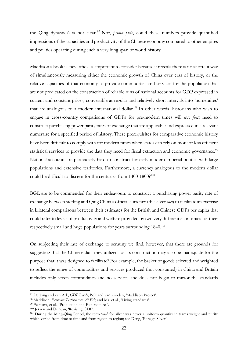the Qing dynasties) is not clear. <sup>97</sup> Nor, *prima facie*, could these numbers provide quantified impressions of the capacities and productivity of the Chinese economy compared to other empires and polities operating during such a very long span of world history.

Maddison's book is, nevertheless, important to consider because it reveals there is no shortcut way of simultaneously measuring either the economic growth of China over eras of history, or the relative capacities of that economy to provide commodities and services for the population that are not predicated on the construction of reliable runs of national accounts for GDP expressed in current and constant prices, convertible at regular and relatively short intervals into 'numeraires' that are analogous to a modern international dollar. <sup>98</sup> In other words, historians who wish to engage in cross-country comparisons of GDPs for pre-modern times will *ipso facto* need to construct purchasing power parity rates of exchange that are applicable and expressed in a relevant numeraire for a specified period of history. These prerequisites for comparative economic history have been difficult to comply with for modern times when states can rely on more or less efficient statistical services to provide the data they need for fiscal extraction and economic governance.<sup>99</sup> National accounts are particularly hard to construct for early modern imperial polities with large populations and extensive territories. Furthermore, a currency analogous to the modern dollar could be difficult to discern for the centuries from 1400-1800?<sup>100</sup>

BGL are to be commended for their endeavours to construct a purchasing power parity rate of exchange between sterling and Qing China's official currency (the silver *tael*) to facilitate an exercise in bilateral comparisons between their estimates for the British and Chinese GDPs per capita that could refer to levels of productivity and welfare provided by two very different economies for their respectively small and huge populations for years surrounding 1840.<sup>101</sup>

On subjecting their rate of exchange to scrutiny we find, however, that there are grounds for suggesting that the Chinese data they utilized for its construction may also be inadequate for the purpose that it was designed to facilitate? For example, the basket of goods selected and weighted to reflect the range of commodities and services produced (not consumed) in China and Britain includes only seven commodities and no services and does not begin to mirror the standards

<sup>97</sup> De Jong and van Ark, *GDP Levels*; Bolt and van Zanden, 'Maddison Project'.

<sup>98</sup> Maddison, *Economic Performance, 2nd Ed.*; and Ma, et al., 'Living standards'.

<sup>99</sup> Feenstra, et al., 'Production and Expenditures'.

<sup>100</sup> Jerven and Duncan, 'Revising GDP'.

<sup>101</sup> During the Ming-Qing Period, the term '*tael*' for silver was never a uniform quantity in terms weight and purity which varied from time to time and from region to region; see Deng, 'Foreign Silver'.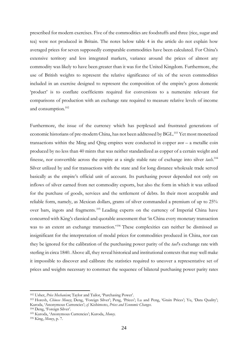prescribed for modern exercises. Five of the commodities are foodstuffs and three (rice, sugar and tea) were not produced in Britain. The notes below table 4 in the article do not explain how averaged prices for seven supposedly comparable commodities have been calculated. For China's extensive territory and less integrated markets, variance around the prices of almost any commodity was likely to have been greater than it was for the United Kingdom. Furthermore, the use of British weights to represent the relative significance of six of the seven commodities included in an exercise designed to represent the composition of the empire's gross domestic 'product' is to conflate coefficients required for conversions to a numeraire relevant for comparisons of production with an exchange rate required to measure relative levels of income and consumption.<sup>102</sup>

Furthermore, the issue of the currency which has perplexed and frustrated generations of economic historians of pre-modern China, has not been addressed by BGL.<sup>103</sup> Yet most monetized transactions within the Ming and Qing empires were conducted in copper *wen* – a metallic coin produced by no less than 40 mints that was neither standardized as copper of a certain weight and finesse, nor convertible across the empire at a single stable rate of exchange into silver *taels*. 104 Silver utilized by and for transactions with the state and for long distance wholesale trade served basically as the empire's official unit of account. Its purchasing power depended not only on inflows of silver earned from net commodity exports, but also the form in which it was utilized for the purchase of goods, services and the settlement of debts. In their most acceptable and reliable form, namely, as Mexican dollars, grams of silver commanded a premium of up to 25% over bars, ingots and fragments. <sup>105</sup> Leading experts on the currency of Imperial China have concurred with King's classical and quotable assessment that 'in China every monetary transaction was to an extent an exchange transaction.<sup>106</sup> These complexities can neither be dismissed as insignificant for the interpretation of modal prices for commodities produced in China, nor can they be ignored for the calibration of the purchasing power parity of the *tael*'s exchange rate with sterling in circa 1840. Above all, they reveal historical and institutional contexts that may well make it impossible to discover and calibrate the statistics required to uncover a representative set of prices and weights necessary to construct the sequence of bilateral purchasing power parity rates

<sup>102</sup> Usher, *Price Mechanism*; Taylor and Tailor, 'Purchasing Power'.

<sup>103</sup> Horesh, *Chinese Money*; Deng, 'Foreign Silver'; Peng, 'Prices'; Lu and Peng, 'Grain Prices'; Yu, 'Data Quality'; Kuroda, 'Anonymous Currencies'; *cf.* Kishimoto, *Prices and Economic Changes*.

<sup>104</sup> Deng, 'Foreign Silver'.

<sup>105</sup> Kuroda, 'Anonymous Currencies'; Kuroda, *Money*.

<sup>106</sup> King, *Money*, p. 7.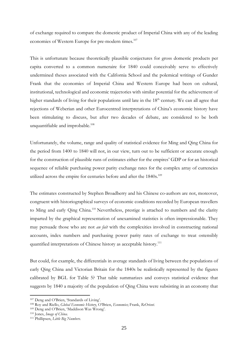of exchange required to compare the domestic product of Imperial China with any of the leading economies of Western Europe for pre-modern times.<sup>107</sup>

This is unfortunate because theoretically plausible conjectures for gross domestic products per capita converted to a common numeraire for 1840 could conceivably serve to effectively undermined theses associated with the California School and the polemical writings of Gunder Frank that the economies of Imperial China and Western Europe had been on cultural, institutional, technological and economic trajectories with similar potential for the achievement of higher standards of living for their populations until late in the  $18<sup>th</sup>$  century. We can all agree that rejections of Weberian and other Eurocentred interpretations of China's economic history have been stimulating to discuss, but after two decades of debate, are considered to be both unquantifiable and improbable.<sup>108</sup>

Unfortunately, the volume, range and quality of statistical evidence for Ming and Qing China for the period from 1400 to 1840 will not, in our view, turn out to be sufficient or accurate enough for the construction of plausible runs of estimates either for the empires' GDP or for an historical sequence of reliable purchasing power parity exchange rates for the complex array of currencies utilized across the empire for centuries before and after the 1840s.<sup>109</sup>

The estimates constructed by Stephen Broadberry and his Chinese co-authors are not, moreover, congruent with historiographical surveys of economic conditions recorded by European travellers to Ming and early Qing China.<sup>110</sup> Nevertheless, prestige is attached to numbers and the clarity imparted by the graphical representation of unexamined statistics is often impressionable. They may persuade those who are not *au fait* with the complexities involved in constructing national accounts, index numbers and purchasing power parity rates of exchange to treat ostensibly quantified interpretations of Chinese history as acceptable history.<sup>111</sup>

But could, for example, the differentials in average standards of living between the populations of early Qing China and Victorian Britain for the 1840s be realistically represented by the figures calibrated by BGL for Table 5? That table summarizes and conveys statistical evidence that suggests by 1840 a majority of the population of Qing China were subsisting in an economy that

<sup>107</sup> Deng and O'Brien, 'Standards of Living'.

<sup>108</sup> Roy and Riello, *Global Economic History*, O'Brien, *Economies*; Frank, *ReOrient*.

<sup>109</sup> Deng and O'Brien, 'Maddison Was Wrong'.

<sup>110</sup> Jones, *Image of China.*

<sup>111</sup> Phillipsen, *Little Big Numbers.*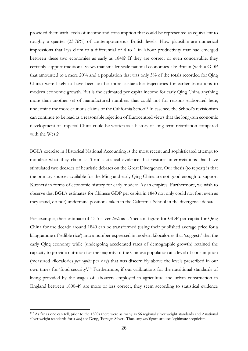provided them with levels of income and consumption that could be represented as equivalent to roughly a quarter (23.76%) of contemporaneous British levels. How plausible are numerical impressions that lays claim to a differential of 4 to 1 in labour productivity that had emerged between these two economies as early as 1840? If they are correct or even conceivable, they certainly support traditional views that smaller scale national economies like Britain (with a GDP that amounted to a mere 20% and a population that was only 5% of the totals recorded for Qing China) were likely to have been on far more sustainable trajectories for earlier transitions to modern economic growth. But is the estimated per capita income for early Qing China anything more than another set of manufactured numbers that could not for reasons elaborated here, undermine the more cautious claims of the California School? In essence, the School's revisionism can continue to be read as a reasonable rejection of Eurocentred views that the long-run economic development of Imperial China could be written as a history of long-term retardation compared with the West?

BGL's exercise in Historical National Accounting is the most recent and sophisticated attempt to mobilize what they claim as 'firm' statistical evidence that restores interpretations that have stimulated two decades of heuristic debates on the Great Divergence. Our thesis (to repeat) is that the primary sources available for the Ming and early Qing China are not good enough to support Kuznetsian forms of economic history for early modern Asian empires. Furthermore, we wish to observe that BGL's estimates for Chinese GDP per capita in 1840 not only could not (but even as they stand, do not) undermine positions taken in the California School in the divergence debate.

For example, their estimate of 13.5 silver *taels* as a 'median' figure for GDP per capita for Qing China for the decade around 1840 can be transformed (using their published average price for a kilogramme of 'edible rice') into a number expressed in modern kilocalories that 'suggests' that the early Qing economy while (undergoing accelerated rates of demographic growth) retained the capacity to provide nutrition for the majority of the Chinese population at a level of consumption (measured kilocalories *per capita* per day) that was discernibly above the levels prescribed in our own times for 'food security'.<sup>112</sup> Furthermore, if our calibrations for the nutritional standards of living provided by the wages of labourers employed in agriculture and urban construction in England between 1800-49 are more or less correct, they seem according to statistical evidence

<sup>112</sup> As far as one can tell, prior to the 1890s there were as many as 56 regional silver weight standards and 2 national silver weight standards for a *tael*; see Deng, 'Foreign Silver'. Thus, any *tael* figure arouses legitimate scepticism.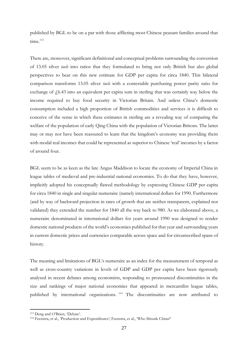published by BGL to be on a par with those afflicting most Chinese peasant families around that  $time$ <sup>113</sup>

There are, moreover, significant definitional and conceptual problems surrounding the conversion of 13.05 silver *taels* into ratios that they formulated to bring not only British but also global perspectives to bear on this new estimate for GDP per capita for circa 1840. This bilateral comparison transforms 13.05 silver *taels* with a contestable purchasing power parity ratio for exchange of  $f(6.43)$  into an equivalent per capita sum in sterling that was certainly way below the income required to buy food security in Victorian Britain. And unless China's domestic consumption included a high proportion of British commodities and services it is difficult to conceive of the sense in which these estimates in sterling are a revealing way of comparing the welfare of the population of early Qing China with the population of Victorian Britons. The latter may or may not have been reassured to learn that the kingdom's economy was providing them with modal real incomes that could be represented as superior to Chinese 'real' incomes by a factor of around four.

BGL seem to be as keen as the late Angus Maddison to locate the economy of Imperial China in league tables of medieval and pre-industrial national economies. To do that they have, however, implicitly adopted his conceptually flawed methodology by expressing Chinese GDP per capita for circa 1840 in single and singular numeraire (namely international dollars for 1990. Furthermore (and by way of backward projection in rates of growth that are neither transparent, explained nor validated) they extended the number for 1840 all the way back to 980. As we elaborated above, a numeraire denominated in international dollars for years around 1990 was designed to render domestic national products of the world's economies published for that year and surrounding years in current domestic prices and currencies comparable across space and for circumscribed spans of history.

The meaning and limitations of BGL's numeraire as an index for the measurement of temporal as well as cross-country variations in levels of GDP and GDP per capita have been rigorously analysed in recent debates among economists, responding to pronounced discontinuities in the size and rankings of major national economies that appeared in mercantilist league tables, published by international organizations. <sup>114</sup> The discontinuities are now attributed to

<sup>113</sup> Deng and O'Brien, 'Debate'.

<sup>114</sup> Feenstra, et al., 'Production and Expenditures'; Feenstra, et al., 'Who Shrunk China?'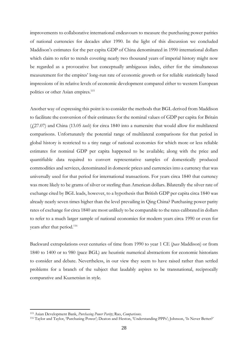improvements to collaborative international endeavours to measure the purchasing power parities of national currencies for decades after 1990. In the light of this discussion we concluded Maddison's estimates for the per capita GDP of China denominated in 1990 international dollars which claim to refer to trends covering nearly two thousand years of imperial history might now be regarded as a provocative but conceptually ambiguous index, either for the simultaneous measurement for the empires' long-run rate of economic growth or for reliable statistically based impressions of its relative levels of economic development compared either to western European polities or other Asian empires.<sup>115</sup>

Another way of expressing this point is to consider the methods that BGL derived from Maddison to facilitate the conversion of their estimates for the nominal values of GDP per capita for Britain (£27.07) and China (13.05 *taels*) for circa 1840 into a numeraire that would allow for multilateral comparisons. Unfortunately the potential range of multilateral comparisons for that period in global history is restricted to a tiny range of national economies for which more or less reliable estimates for nominal GDP per capita happened to be available; along with the price and quantifiable data required to convert representative samples of domestically produced commodities and services, denominated in domestic prices and currencies into a currency that was universally used for that period for international transactions. For years circa 1840 that currency was more likely to be grams of silver or sterling than American dollars. Bilaterally the silver rate of exchange cited by BGL leads, however, to a hypothesis that British GDP per capita circa 1840 was already nearly seven times higher than the level prevailing in Qing China? Purchasing power parity rates of exchange for circa 1840 are most unlikely to be comparable to the rates calibrated in dollars to refer to a much larger sample of national economies for modern years circa 1990 or even for years after that period.<sup>116</sup>

Backward extrapolations over centuries of time from 1990 to year 1 CE (*pace* Maddison) or from 1840 to 1400 or to 980 (pace BGL) are heuristic numerical abstractions for economic historians to consider and debate. Nevertheless, in our view they seem to have raised rather than settled problems for a branch of the subject that laudably aspires to be transnational, reciprocally comparative and Kuznetsian in style.

<sup>115</sup> Asian Development Bank, *Purchasing Power Parity*; Rao, *Comparisons*.

<sup>116</sup> Taylor and Taylor, 'Purchasing Power'; Deaton and Heston, 'Understanding PPPs'; Johnson, 'Is Never Better?'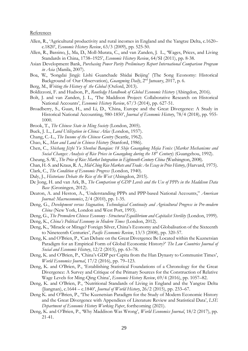**References** 

- Allen, R., 'Agricultural productivity and rural incomes in England and the Yangtze Delta, c.1620– c.1820', *Economic History Review*, 63/3 (2009), pp. 525-50.
- Allen, R., Bassino, J., Ma, D., Moll-Murata, C., and van Zanden, J. L., 'Wages, Prices, and Living Standards in China, 1738–1925', *Economic History Review*, 64/SI (2011), pp. 8-38.
- Asian Development Bank, *Purchasing Power Parity Preliminary Report International Comparison Program in Asia* (Manila, 2007).
- Boa, W., 'Songdai Jingji: Lishi Guanchade Shidai Beijing' (The Song Economy: Historical Background of Our Observation), *Guangming Daily*, 2<sup>nd</sup> January, 2017, p. 6.
- Berg, M., *Writing the History of the Global* (Oxford, 2013).
- Boldizzoni, F. and Hudson, P., *Routledge Handbook of Global Economic History* (Abingdon, 2016).
- Bolt, J. and van Zanden, J. L., 'The Maddison Project: Collaborative Research on Historical National Accounts', *Economic History Review*, 67/3 (2014), pp. 627-51.
- Broadberry, S., Guan, H., and Li, D., 'China, Europe and the Great Divergence: A Study in Historical National Accounting, 980-1850', *Journal of Economic History*, 78/4 (2018), pp. 955- 1000.
- Brook, T., *The Chinese State in Ming Society* (London, 2005).
- Buck, J. L., *Land Utilization in China: Atlas* (London, 1937).
- Chang, C.-L., *The Income of the Chinese Gentry* (Seattle, 1962).
- Chao, K., *Man and Land in Chinese History* (Stanford, 1986).
- Chen, C., *Shichang Jizhi Yu Shenhui Banqiao: 18 Shije Guangdong Mejia Fenix* (*Market Mechanisms and Social Changes: Analysis of Rice Prices in Guangdong during the 18th Century*) (Guangzhou, 1992).
- Cheung, S.-W., *The Price of Rice: Market Integration in Eighteenth-Century China* (Washington, 2008).
- Chan, H.-S. and Kraus, R. A., *Mid-Ching Rice Markets and Trade: An Essay in Price History*, (Harvard, 1975).
- Clark, C., *The Condition of Economic Progress* (London, 1940).
- Daly, J., *Historians Debate the Rise of the West* (Abingdon, 2015).
- De Jong, H. and van Ark, B., *The Comparison of GDP Levels and the Use of PPPs in the Maddison Data Base* (Groningen, 2012).
- Deaton, A. and Heston, A., 'Understanding PPPs and PPP-based National Accounts," *American Journal: Macroeconomics*, 2/4 (2010), pp. 1-35.
- Deng, G., *Development versus Stagnation, Technological Continuity and Agricultural Progress in Pre-modern China* (New York, London and West Port, 1993).
- Deng, G., *The Premodern Chinese Economy - Structural Equilibrium and Capitalist Sterility* (London, 1999).
- Deng, K., *China's Political Economy in Modern Times* (London, 2012).
- Deng, K., 'Miracle or Mirage? Foreign Silver, China's Economy and Globalisation of the Sixteenth to Nineteenth Centuries', *Pacific Economic Review*, 13/3 (2008), pp. 320-57.
- Deng, K. and O'Brien, P., 'Can Debate on the Great Divergence Be Located within the Kuznetsian Paradigm for an Empirical Form of Global Economic History?' *The Low Countries Journal of Social and Economic History*, 12/2 (2015), pp. 63–78.
- Deng, K. and O'Brien, P., 'China's GDP per Capita from the Han Dynasty to Communist Times', *World Economics Journal*, 17/2 (2016), pp. 79–123.
- Deng, K. and O'Brien, P., 'Establishing Statistical Foundations of a Chronology for the Great Divergence: A Survey and Critique of the Primary Sources for the Construction of Relative Wage Levels for Ming-Qing China', *Economic History Review*, 69/4 (2016), pp. 1057–82.
- Deng, K. and O'Brien, P., 'Nutritional Standards of Living in England and the Yangtze Delta (Jiangnan), c.1644 – c.1840', *Journal of World History*, 26/2 (2015), pp. 233–67.
- Deng K. and O'Brien, P., 'The Kuznetsian Paradigm for the Study of Modern Economic History and the Great Divergence with Appendices of Literature Review and Statistical Data', *LSE Department of Economic History Working Paper*, forthcoming (2021).
- Deng, K. and O'Brien, P., 'Why Maddison Was Wrong', *World Economics Journal*, 18/2 (2017), pp. 21-41.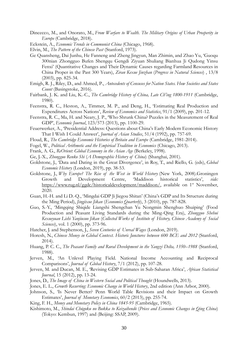- Dincecco, M., and Onorato, M., *From Warfare to Wealth. The Military Origins of Urban Prosperity in Europe* (Cambridge, 2018).
- Eckstein, A., *Economic Trends in Communist China* (Chicago, 1968).
- Elvin, M., *The Pattern of the Chinese Past* (Stanford, 1973).
- Ge Quansheng, Dai Junhu, He Fanneng and Zheng Jingyun, Man Zhimin, and Zhao Yu, 'Guoqu 300nian Zhongguo Bufen Shengqu Gengdi Ziyuan Shuliang Bianhua Ji Qudong Yinsu Fenxi' (Quantitative Changes and Their Dynamic Causes regarding Farmland Resources in China Proper in the Past 300 Years), *Ziran Kexue Jinzhan* (*Progress in Natural Sciences*) , 13/8 (2003), pp. 825-34.
- Emigh, R. J., Riley, D., and Ahmed, P., *Antecedents of Censuses for Nation States. How Societies and States Count* (Basingstoke, 2016).
- Fairbank, J. K. and Liu, K.-C., *The Cambridge History of China, Late Ch'ing 1800-1911* (Cambridge, 1980).
- Feenstra, R. C., Heston, A., Timmer, M. P., and Deng, H., 'Estimating Real Production and Expenditures Across Nations', *Review of Economics and Statistics*, 91/1 (2009), pp. 201-12.
- Feenstra, R. C., Ma, H. and Neary, J. P., 'Who Shrunk China? Puzzles in the Measurement of Real GDP', *Economic Journal*, 123/573 (2013), pp. 1100-29.
- Feuerwerker, A., 'Presidential Address: Questions about China's Early Modern Economic History That I Wish I Could Answer', *Journal of Asian Studies*, 51/4 (1992), pp. 757-69.
- Floud, R., *The Cambridge Economic Histories of Britain and Europe* (Cambridge, 1981-2014).
- Fogel, W., *Political Arithmetic and the Empirical Tradition in Economics* (Chicago, 2013).
- Frank, A. G., *ReOrient: Global Economy in the Asian Age* (Berkeley, 1998).
- Ge, J.-X., *Zhongguo Renko Shi* (*A Demographic History of China*) (Shanghai, 2001).
- Goldstone, J., 'Data and Dating in the Great Divergence', in Roy, T., and Riello, G. (eds), *Global Economic History* (London, 2019), pp. 38-53.
- Goldstone, J., *Why Europe? The Rise of the West in World History* (New York, 2008).Groningen Growth and Development Centre, 'Maddison historical statistics', *vide:*  https://www.rug.nl/ggdc/historicaldevelopment/maddison/, available on 1<sup>st</sup> November, 2020.
- Guan, H.-H. and Li D.-Q., 'Mingdai GDP Ji Jiegou Shitan' (China's GDP and Its Structure during the Ming Period), *Jingjixue Jikan* (*Economics Quarterly*), 3 (2010), pp. 787-828.
- Guo, S.-Y., 'Mingqing Shiqide Liangshi Shengchan Yu Nongmin Shenghuo Shuiping' (Food Production and Peasant Living Standards during the Ming-Qing Era), *Zhongguo Shehui Kexueyuan Lishi Yanjiusuo Jikan* (*Collected Works of Institute of History, Chinese Academy of Social Sciences*), vol. 1 (2000), pp. 373-96.
- Hatcher, J. and Stephenson, J., *Seven Centuries of Unreal Wages* (London, 2019).
- Horesh, N., *Chinese Money in Global Context. Historic Junctures between 600 BCE and 2012* (Stanford, 2014).
- Huang, P. C. C., *The Peasant Family and Rural Development in the Yangzi Delta, 1350–1988* (Stanford, 1988).
- Jerven, M., 'An Unlevel Playing Field. National Income Accounting and Reciprocal Comparisons', *Journal of Global History*, 7/1 (2012), pp. 107-28.
- Jerven, M. and Ducan, M. E., 'Revising GDP Estimates in Sub-Saharan Africa', *African Statistical Journal*, 15 (2012), pp. 13-24.
- Jones, D., *The Image of China in Western Social and Political Thought* (Houndwells, 2013).
- Jones, E. L., *Growth Recurring: Economic Change in World History*, 2nd edition (Ann Arbor, 2000).
- Johnson, S., 'Is Never Better? Penn World Table Revisions and their Impact on Growth Estimates', *Journal of Monetary Economics*, 60/2 (2013), pp. 255-74.
- King, F. H., *Money and Monetary Policy in China 1845-95* (Cambridge, 1965).
- Kishimoto, M., *Shindai Chūgoku no Bukka to Keizaihendō* (*Prices and Economic Changes in Qing China*) (Tokyo: Kembun, 1997) and (Beijing: SSAP, 2009).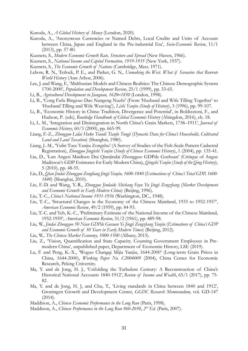Kuroda, A., *A Global History of Money* (London, 2020).

- Kuroda, A., 'Anonymous Currencies or Named Debts, Local Credits and Units of Account between China, Japan and England in the Pre-industrial Era', *Socio-Economic Review*, 11/1 (2013), pp. 57-80.
- Kuznets, S., *Modern Economic Growth Rate, Structure and Spread* (New Haven, 1966).
- Kuznets, S., *National Income and Capital Formation, 1919-1935* (New York, 1937).
- Kuznets, S., *The Economic Growth of Nations* (Cambridge, Mass. 1971).
- Lebow, R. N., Tetlock, P. E., and Parker, G. N., *Unmaking the West. What if Scenarios that Rewrote World History* (Ann Arbor, 2006).
- Lee, J. and Wang, F., 'Malthusian Models and Chinese Realities: The Chinese Demographic System 1700-2000', *Population and Development Review*, 25/1 (1999), pp. 33-65.
- Li, B., *Agricultural Development in Jiangnan, 1620***–***1850* (London, 1998).
- Li, B., 'Cong Fufu Bingzuo Dao Nangeng Nuzhi' (From 'Husband and Wife Tilling Together' to 'Husband Tilling and Wife Weaving'), *Lishi Yanjiu (Study of History*), 3 (1996), pp. 99-107.
- Li, B., 'Economic History in China: Tradition, Divergence and Potential', in Boldizzioni, F., and Hudson, P. (eds), *Routledge Handbook of Global Economic History* (Abingdon, 2016), ch. 18.
- Li, L. M., 'Integration and Disintegration in North China's Grain Markets, 1738–1911', *Journal of Economic History*, 60/3 (2000), pp. 665-99.
- Liang, F.-Z., *Zhongguo Lidai Huko Tiandi Tianfu Tongji* (*Dynastic Data for China's Households, Cultivated Land and Land Taxation*) (Shanghai, 1980).
- Liang, J.-M., 'Yulin Tuce Yanjiu Zongshu' (A Survey of Studies of the Fish-Scale Pattern Cadastral Registration), *Zhongguo Jingjishi Yanjiu* (*Study of Chinese Economic History*), 1 (2004), pp. 135-41.
- Liu, D., 'Lun Angesi Maidisen Dui Qianjindai Zhongguo GDPde Gushuan' (Critique of Angus Madisson's GDP Estimates for Early Modern China), *Qingshi Yanjiu* (*Study of the Qing History*), 5 (2010), pp. 48-55.
- Liu, D., *Qian Jindai Zhongguo Zongliang Jingji Yanjiu, 1600-1840* (*Estimations of China's Total GDP, 1600- 1840*) (Shanghai, 2010).
- Liu, F.-D. and Wang, Y.-R., *Zhongguo Jindaide Shichang Fayu Yu Jingji Zengzhang* (*Market Development and Economic Growth in Early Modern China*) (Beijing, 1996).
- Liu, T.-C., *China's National Income 1931-1936* (Washington, DC., 1948).
- Liu, T.-C., 'Structural Changes in the Economy of the Chinese Mainland, 1933 to 1952-1957', *American Economic Review*, 49/2 (1959), pp. 84-93.
- Liu, T.-C. and Yeh, K.-C., 'Preliminary Estimate of the National Income of the Chinese Mainland, 1952-1959', *American Economic Review*, 51/2 (1961), pp. 489-98.
- Liu, W., *Jindai Zhongguo 50 Nian GDPde Gusuan Ye Jingji Zengzhang Yanjiu* (*Estimations of China's GDP and Economic Growth of 50 Years in Early Modern Times*) (Beijing, 2012).
- Liu, W., *The Chinese Market Economy, 1000-1500* (Albany, 2015).
- Liu, Z., 'Vision, Quantification and State Capacity. Counting Government Employees in Premodern China', unpublished paper, Department of Economic History, LSE (2019).
- Lu, F. and Peng, K.-X., 'Woguo Changqi Mijia Yanjiu, 1644-2000' (Long-term Grain Prices in China, 1644-2000), *Working Paper No. C2004009* (2004), China Center for Economic Research, Peking University.
- Ma, Y. and de Jong, H. J., 'Unfolding the Turbulent Century: A Reconstruction of China's Historical National Accounts 1840-1912', *Review of Income and Wealth*, 65/1 (2017), pp. 75- 82.
- Ma, Y. and de Jong, H. J, and Chu, T., 'Living standards in China between 1840 and 1912', Groningen Growth and Development Center, *GGDC Research Memorandum*, vol. GD-147 (2014).

Maddison, A., *Chinese Economic Performance in the Long Run* (Paris, 1998).

Maddison, A., *Chinese Performance in the Long Run 960-2030*, *2 nd Ed.* (Paris, 2007).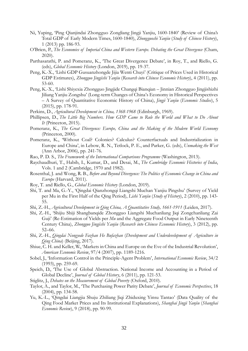- Ni, Yuping, 'Ping Qianjindai Zhongguo Zongliang Jingji Yanjiu, 1600-1840' (Review of China's Total GDP of Early Modern Times, 1600-1840), *Zhongguoshi Yanjiu* (*Study of Chinese History*), 1 (2013) pp. 186-93.
- O'Brien, P., *The Economies of Imperial China and Western Europe. Debating the Great Divergence* (Cham, 2020).
- Parthasarathi, P. and Pomeranz, K., 'The Great Divergence Debate', in Roy, T., and Riello, G. (eds), *Global Economic History* (London, 2019), pp. 19-37.
- Peng, K.-X., 'Lishi GDP Gusuanzhongde Jijia Wenti Chuyi' (Critique of Prices Used in Historical GDP Estimates), *Zhongguo Jingjishi Yanjiu* (*Research into Chinese Economic History*), 4 (2011), pp. 53-60.
- Peng, K.-X., 'Lishi Shiyexia Zhongguo Jingjide Changqi Bianqian Jinnian Zhongguo Jingjishizhi Jiliang Yanjiu Zongshu' (Long-term Changes of China's Economy in Historical Perspectives – A Survey of Quantitative Economic History of China), *Jingji Yanjiu* (*Economic Studies*), 5 (2015), pp. 178-91.
- Perkins, D., *Agricultural Development in China, 1368-1968* (Edinburgh, 1969).
- Phillipsen, D., *The Little Big Numbers. How GDP Came to Rule the World and What to Do About It* (Princeton, 2015).
- Pomeranz, K., *The Great Divergence: Europe, China and the Making of the Modern World Economy*  (Princeton, 2000).
- Pomeranz, K., 'Without Coal? Colonies? Calculus? Counterfactuals and Industrialization in Europe and China', in Lebow, R. N., Tetlock, P. E., and Parker, G. (eds), *Unmaking the West* (Ann Arbor, 2006), pp. 241-76.
- Rao, P. D. S., *The Framework of the International Comparisons Programme* (Washington, 2013).
- Raychaudhuri, T., Habib, I., Kumar, D., and Desai, M., *The Cambridge Economic Histories of India*, Vols. 1 and 2 (Cambridge, 1970 and 1982).
- Rosenthal, J. and Wong, R. B., *Before and Beyond Divergence: The Politics of Economic Change in China and Europe* (Harvard, 2011).
- Roy, T. and Riello, G., *Global Economic History* (London, 2019).
- Shi, T. and Ma, G.-Y., 'Qingdai Qianzhongqi Liangshi Muchan Yanjiu Pingshu' (Survey of Yield per Mu in the First Half of the Qing Period), *Lishi Yanjiu* (*Study of History*), 2 (2010), pp. 143- 55.
- Shi, Z.-H., *Agricultural Development in Qing China, A Quantitative Study, 1661-1911* (Leiden, 2017).
- Shi, Z.-H., 'Shijiu Shiji Shangbanqide Zhongguo Liangshi Muchanliang Jiqi Zongchanliang Zai Guji' (Re-Estimation of Yields per *Mu* and the Aggregate Food Output in Early Nineteenth Century China), *Zhongguo Jingjishi Yanjiu* (*Research into Chinese Economic History*), 3 (2012), pp. 52–66.
- Shi, Z.-H., *Qingdai Nongyede Fazhan He Bufazhan* (*Development and Underdevelopment of Agriculture in Qing China*) (Beijing, 2017).
- Shiue, C. H. and Keller, W., 'Markets in China and Europe on the Eve of the Industrial Revolution', *American Economic Review*, 97/4 (2007), pp. 1189-1216.
- Sobel, J., 'Information Control in the Principle-Agent Problem', *International Economic Review*, 34/2 (1993), pp. 259-69.
- Speich, D., 'The Use of Global Abstraction. National Income and Accounting in a Period of Global Decline', *Journal of Global History*, 6 (2011), pp. 121-53.
- Stiglitz, J., *Debates on the Measurement of Global Poverty* (Oxford, 2010).
- Taylor, A., and Taylor, M., 'The Purchasing Power Parity Debate', *Journal of Economic Perspectives*, 18 (2004), pp. 134-58.
- Yu, K.-L., 'Qingdai Liangjia Shuju Zhiliang Jiqi Zhiduxing Yinsu Tantao' (Data Quality of the Qing Food Market Prices and Its Institutional Explanations), *Shanghai Jingji Yanjiu* (*Shanghai Economic Review*), 9 (2018), pp. 90-99.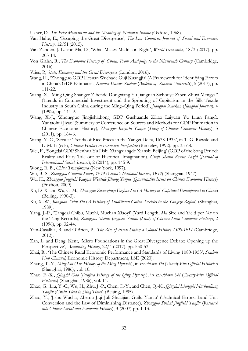Usher, D., *The Price Mechanism and the Meaning of National Income* (Oxford, 1968).

- Van Halte, E., 'Escaping the Great Divergence', *The Low Countries Journal of Social and Economic History*, 12/SI (2015).
- Van Zanden, J. L. and Ma, D., 'What Makes Maddison Right', *World Economics*, 18/3 (2017), pp. 203-14.
- Von Glahn, R., *The Economic History of China: From Antiquity to the Nineteenth Century* (Cambridge, 2016).
- Vries, P., *State, Economy and the Great Divergence* (London, 2016).
- Wang, H., 'Zhongguo GDP Hesuan Wuchade Guji Kuangjia' (A Framework for Identifying Errors in China's GDP Estimates', *Xiamen Daxue Xuebao* (*Bulletin of Xiamen University*), 5 (2017), pp. 111-22.
- Wang, X., 'Ming Qing Shangye Zibende Dongxiang Yu Jiangnan Sichouye Ziben Zhuyi Mengya" (Trends in Commercial Investment and the Sprouting of Capitalism in the Silk Textile Industry in South China during the Ming–Qing Period), *Jianghai Xuekan* (*Jianghai Journal*), 4 (1992), pp. 144-9.
- Wang, X.-J., 'Zhongguo Jingjishizhong GDP Gushuande Ziliao Laiyuan Yu Lilun Fangfa Yantaohui Jiyao' (Summery of Conference on Sources and Methods for GDP Estimation in Chinese Economic History), *Zhongguo Jingjishi Yanjiu* (*Study of Chinese Economic History*), 3 (2011), pp. 164-6.
- Wang, Y.-C., 'Secular Trends of Rice Prices in the Yangzi Delta, 1638-1935', in T. G. Rawski and L. M. Li (eds), *Chinese History in Economic Perspective* (Berkeley, 1992), pp. 35-68.
- Wei, F., 'Songdai GDP Shenhua Yu Lishi Xiangxiangde Xianshi Beijing' (GDP of the Song Period: Reality and Fairy Tale out of Historical Imagination), *Guoji Shehui Kexue Zazhi* (*Journal of International Social Sciences*), 2 (2014), pp. 145-9.
- Wong, R. B., *China Transformed* (New York, 1997).
- Wu, B.-S., *Zhongguo Guomin Suode, 1933* (*China's National Income, 1933*) (Shanghai, 1947).
- Wu, H., *Zhongguo Jingjishi Ruogan Wentide Jiliang Yanjiu* (*Quantitative Issues on China's Economic History*) (Fuzhou, 2009).
- Xu, D.-X. and Wu, C.-M., *Zhongguo Zibenzhuyi Fazhan Shi* (*A History of Capitalist Development in China*) (Beijing, 1990-3).
- Xu, X.-W., *Jiangnan Tubu Shi* (*A History of Traditional Cotton Textiles in the Yangtze Region*) (Shanghai, 1989).
- Yang, J.-P., 'Tangdai Chibu, Muzhi, Muchan Xiaoyi' (Yard Length, *Mu* Size and Yield per *Mu* on the Tang Records), *Zhongguo Shehui Jingjishi Yanjiu* (*Study of Chinese Socio-Economic History*), 2 (1996), pp. 32-44.
- Yun-Casallila, B. and O'Brien, P., *The Rise of Fiscal States; a Global History 1500-1914* (Cambridge, 2012).
- Zan, L. and Deng, Kent, 'Micro Foundations in the Great Divergence Debate: Opening up the Perspective', *Accounting History*, 22/4 (2017), pp. 530-53.
- Zhai, R., 'The Chinese Rural Economic Performance and Standards of Living 1080-1953', *Student Hub Channel*, Economic History Department, LSE (2020).
- Zhang, T.-Y., *Ming Shi* (*The History of the Ming Dynasty*), in *Er-shi-wu Shi* (*Twenty-Five Official Histories*) (Shanghai, 1986), vol. 10.
- Zhao, E.-X., *Qingshi Gao* (*Drafted History of the Qing Dynasty*), in *Er-shi-wu Shi* (*Twenty-Five Official Histories*) (Shanghai, 1986), vol. 11.
- Zhao, G., Liu, Y.-C., Wu, H., Zhu, J.-P., Chen, C.-Y., and Chen, Q.-K., *Qingdai Liangshi Muchanliang Yanjiu* (*Grain Yield in Qing Times*) (Beijing, 1995).
- Zhao, Y., 'Jishu Wucha, Zhemu Jiqi Juli Shuaijian Guilü Yanjiu' (Technical Errors: Land Unit Conversion and the Law of Diminishing Distance), *Zhongguo Shehui Jingjishi Yanjiu* (*Research into Chinese Social and Economic History*), 3 (2007) pp. 1-13.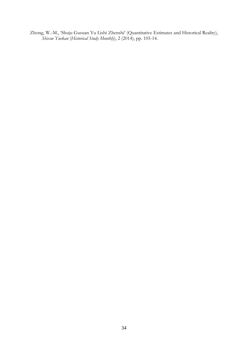Zhong, W.-M., 'Shuju Gusuan Yu Lishi Zhenshi' (Quantitative Estimates and Historical Reality), *Shixue Yuekan* (*Historical Study Monthly*), 2 (2014), pp. 105-14.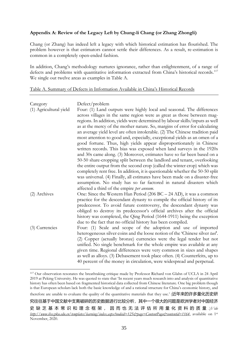### **Appendix A: Review of the Legacy Left by Chung-li Chang (or Zhang Zhongli)**

Chang (or Zhang) has indeed left a legacy with which historical estimation has flourished. The problem however is that estimators cannot settle their differences. As a result, re-estimation is common in a completely open-ended fashion.

In addition, Chang's methodology nurtures ignorance, rather than enlightenment, of a range of defects and problems with quantitative information extracted from China's historical records.<sup>117</sup> We single out twelve areas as examples in Table A.

### Table A. Summary of Defects in Information Available in China's Historical Records

| Category<br>(1) Agricultural yield | Defect/problem<br>Four: (1) Land outputs were highly local and seasonal. The differences<br>across villages in the same region were as great as those between mag-<br>regions. In addition, yields were determined by labour skills/inputs as well<br>as at the mercy of the mother nature. So, margins of error for calculating<br>an average yield level are often intolerable. (2) The Chinese tradition paid<br>most attention to good and, especially, exceptional yields as an omen of a<br>good fortune. Thus, high yields appear disproportionately in Chinese<br>written records. This bias was exposed when land surveys in the 1920s<br>and 30s came along. (3) Moreover, estimates have so far been based on a<br>50-50 share-cropping split between the landlord and tenant, overlooking<br>the entire output from the second crop (called the winter crop) which was<br>completely rent free. In addition, it is questionable whether the 50-50 split<br>was universal. (4) Finally, all estimates have been made on a disaster-free<br>assumption. No study has so far factored in natural disasters which |
|------------------------------------|---------------------------------------------------------------------------------------------------------------------------------------------------------------------------------------------------------------------------------------------------------------------------------------------------------------------------------------------------------------------------------------------------------------------------------------------------------------------------------------------------------------------------------------------------------------------------------------------------------------------------------------------------------------------------------------------------------------------------------------------------------------------------------------------------------------------------------------------------------------------------------------------------------------------------------------------------------------------------------------------------------------------------------------------------------------------------------------------------------------------------|
| (2) Archives                       | affected a third of the empire <i>per annum</i> .<br>One: Since the Western Han Period (206 BC – 24 AD), it was a common<br>practice for the descendant dynasty to compile the official history of its<br>predecessor. To avoid future controversy, the descendant dynasty was<br>obliged to destroy its predecessor's official archives after the official<br>history was completed, the Qing Period (1644-1911) being the exception<br>due to the fact that no official history has been compiled.                                                                                                                                                                                                                                                                                                                                                                                                                                                                                                                                                                                                                      |
| (3) Currencies                     | Four: (1) Scale and scope of the adoption and use of imported<br>heterogeneous silver coins and the loose notion of the 'Chinese silver tael'.<br>(2) Copper (actually bronze) currencies were the legal tender but not<br>unified. No single benchmark for the whole empire was available at any<br>given time. Regional differences were very common in sizes and shapes<br>as well as alloys. (3) Debasement took place often. (4) Counterfeits, up to<br>40 percent of the money in circulation, were widespread and perpetual.                                                                                                                                                                                                                                                                                                                                                                                                                                                                                                                                                                                       |

<sup>117</sup> Our observation resonates the breathtaking critique made by Professor Richard von Glahn of UCLA in 24 April 2019 at Peking University. He was quoted to state that 'In recent years much research into and analysis of quantitative history has often been based on fragmented historical data collected from Chinese literature. One big problem though is that European scholars lack both the basic knowledge of and a rational structure for China's economic history, and therefore are unable to evaluate the quality of the quantitative materials that they use.' (近年来的许多量化历史研 究往往基于中国文献中支离破碎的历史数据进行比较分析,其中一个很大的问题是欧洲学者对中国经济 史 缺 乏 基 本 常 识 和 理 念 框 架 , 因 而 也 无 法 评 估 所 用 量 化 资 料 的 质 量 .)*Vide http://www.ihss.pku.edu.cn/templates/learning/index.aspx?nodeid=125&page=ContentPage&contentid=1164*, available on 1st November, 2020.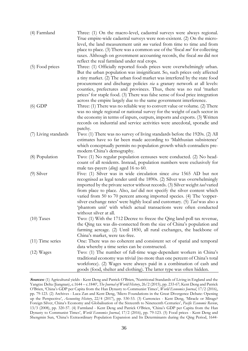| (4) Farmland         | Three: (1) On the macro-level, cadastral surveys were always regional.<br>True empire-wide cadastral surveys were non-existent. (2) On the micro-<br>level, the land measurement unit <i>mu</i> varied from time to time and from<br>place to place. (3) There was a common use of the 'fiscal $m\vec{u}$ ' for collecting<br>taxes. Although on government accounting records, the fiscal mu did not<br>reflect the real farmland under real crops.                                                                                                                                 |
|----------------------|--------------------------------------------------------------------------------------------------------------------------------------------------------------------------------------------------------------------------------------------------------------------------------------------------------------------------------------------------------------------------------------------------------------------------------------------------------------------------------------------------------------------------------------------------------------------------------------|
| (5) Food prices      | Three: (1) Officially reported foods prices were overwhelmingly urban.<br>But the urban population was insignificant. So, such prices only affected<br>a tiny market. (2) The urban food market was interfered by the state food<br>procurement and discharge policies <i>via</i> a granary network at all levels:<br>counties, prefectures and provinces. Thus, there was no real 'market<br>prices' for staple food. (3) There was false sense of food price integration                                                                                                           |
| $(6)$ GDP            | across the empire largely due to the same government interference.<br>Three: (1) There was no reliable way to convert value or volume. (2) There<br>was no single regional or national survey for the weight of each sector in<br>the economy in terms of inputs, outputs, imports and exports. (3) Written<br>records on industrial and service activities were anecdotal, sporadic and<br>patchy.                                                                                                                                                                                  |
| (7) Living standards | Two: (1) There was no survey of living standards before the 1920s. (2) All<br>estimates have so far been made according to 'Malthusian subsistence'<br>which conceptually permits no population growth which contradicts pre-<br>modern China's demography.                                                                                                                                                                                                                                                                                                                          |
| (8) Population       | Two: (1) No regular population censuses were conducted. (2) No head-<br>count of all residents. Instead, population numbers were exclusively for<br>male tax-payers (ding) aged 16 to 60.                                                                                                                                                                                                                                                                                                                                                                                            |
| $(9)$ Silver         | Five: (1) Silver was in wide circulation since <i>circa</i> 1565 AD but not<br>recognised as legal tender until the 1890s. (2) Silver was overwhelmingly<br>imported by the private sector without records. (3) Silver weight tael varied<br>from place to place. Also, <i>tael</i> did not specify the silver content which<br>varied from 50 to 70 percent among imported species. (4) The 'copper-<br>silver exchange rates' were highly local and customary. (5) Tael was also a<br>'phantom unit' with which actual transactions were often conducted<br>without silver at all. |
| $(10)$ Taxes         | Two: (1) With the 1712 Decree to freeze the Qing land-poll tax revenue,<br>the Qing tax was dis-connected from the size of China's population and<br>farming acreage. (2) Until 1850, all rural exchanges, the backbone of<br>China's market, were tax-free.                                                                                                                                                                                                                                                                                                                         |
| $(11)$ Time series   | One: There was no coherent and consistent set of spatial and temporal<br>data whereby a time series can be constructed.                                                                                                                                                                                                                                                                                                                                                                                                                                                              |
| $(12)$ Wages         | Two: (1) The number of full-time wage-dependant workers in China's<br>traditional economy was trivial (no more than one percent of China's total<br>workforce). (2) Wages were always paid in a combination of cash and<br>goods (food, shelter and clothing). The latter type was often hidden.                                                                                                                                                                                                                                                                                     |

**Sources***:* (1) Agricultural yields - Kent Deng and Patrick O'Brien, 'Nutritional Standards of Living in England and the Yangtze Delta (Jiangnan), c.1644 – c.1840', *The Journal of World History*, 26/2 (2015), pp. 233-67; Kent Deng and Patrick O'Brien, 'China's GDP per Capita from the Han Dynasty to Communist Times', *World Economics Journal*, 17/2 (2016), pp. 79-123. (2) Archives - Luca Zan and Kent Deng, 'Micro Foundations in the Great Divergence Debate: Opening up the Perspective', *Accounting History*, 22/4 (2017), pp. 530-53. (3) Currencies - Kent Deng, 'Miracle or Mirage? Foreign Silver, China's Economy and Globalisation of the Sixteenth to Nineteenth Centuries', *Pacific Economic Review*, 13/3 (2008), pp. 320-57. (4) Farmland - Kent Deng and Patrick O'Brien, 'China's GDP per Capita from the Han Dynasty to Communist Times', *World Economics Journal*, 17/2 (2016), pp. 79-123. (5) Food prices - Kent Deng and Shengmin Sun, 'China's Extraordinary Population Expansion and Its Determinants during the Qing Period, 1644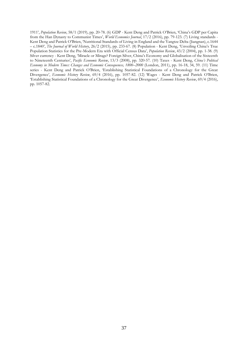1911', *Population Review*, 58/1 (2019), pp. 20-78. (6) GDP - Kent Deng and Patrick O'Brien, 'China's GDP per Capita from the Han Dynasty to Communist Times', *World Economics Journal*, 17/2 (2016), pp. 79-123. (7) Living standards - Kent Deng and Patrick O'Brien, 'Nutritional Standards of Living in England and the Yangtze Delta (Jiangnan), c.1644 – c.1840', *The Journal of World History*, 26/2 (2015), pp. 233-67. (8) Population - Kent Deng, 'Unveiling China's True Population Statistics for the Pre-Modern Era with Official Census Data', *Population Review*, 43/2 (2004), pp. 1-38. (9) Silver currency - Kent Deng, 'Miracle or Mirage? Foreign Silver, China's Economy and Globalisation of the Sixteenth to Nineteenth Centuries', *Pacific Economic Review*, 13/3 (2008), pp. 320-57. (10) Taxes - Kent Deng, *China's Political Economy in Modern Times: Changes and Economic Consequences, 1800–2000* (London, 2011), pp. 16-18, 34, 59. (11) Time series - Kent Deng and Patrick O'Brien, 'Establishing Statistical Foundations of a Chronology for the Great Divergence', *Economic History Review*, 69/4 (2016), pp. 1057-82. (12) Wages - Kent Deng and Patrick O'Brien, 'Establishing Statistical Foundations of a Chronology for the Great Divergence', *Economic History Review*, 69/4 (2016), pp. 1057-82.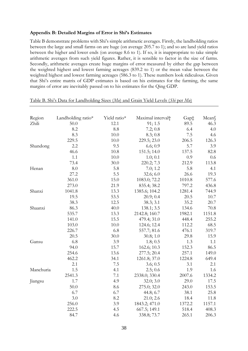### **Appendix B: Detailed Margins of Error in Shi's Estimates**

Table B demonstrate problems with Shi's simple arithmetic averages. Firstly, the landholding ratios between the large and small farms on are huge (on average 205.7 to 1); and so are land yield ratios between the higher and lower ends (on average 8.6 to 1). If so, it is inappropriate to take simple arithmetic averages from such yield figures. Rather, it is sensible to factor in the size of farms. Secondly, arithmetic averages create huge margins of error measured by either the gap between the weighted highest and lowest farming acreages (839.2 to 1) or the mean value between the weighted highest and lowest farming acreages (586.3 to 1). These numbers look ridiculous. Given that Shi's entire matrix of GDP estimates is based on his estimates for the farming, the same margins of error are inevitably passed on to his estimates for the Qing GDP.

| Region    | Landholding ratio* | Yield ratio* | Maximal interval <sup>+</sup> | Gap‡   | Mean   |
|-----------|--------------------|--------------|-------------------------------|--------|--------|
| Zhili     | 50.0               | 12.1         | 91; 1.5                       | 89.5   | 46.3   |
|           | 8.2                | 8.8          | 7.2;0.8                       | 6.4    | 4.0    |
|           | 8.3                | 10.0         | 8.3;0.8                       | 7.5    | 4.6    |
|           | 229.5              | 10.0         | 229.5; 23.0                   | 206.5  | 126.3  |
| Shandong  | 2.2                | 9.5          | 6.6; 0.9                      | 5.7    | 3.9    |
|           | 46.6               | 10.8         | 151.5; 14.0                   | 137.5  | 82.8   |
|           | 1.1                | 10.0         | 1.0; 0.1                      | 0.9    | 0.6    |
|           | 73.4               | 30.0         | 220.2; 7.3                    | 212.9  | 113.8  |
| Henan     | 8.0                | 5.8          | 7.0; 1.2                      | 5.8    | 4.1    |
|           | 27.2               | 5.5          | 32.6; 6.0                     | 26.6   | 19.3   |
|           | 361.0              | 15.0         | 1083.0; 72.2                  | 1010.8 | 577.6  |
|           | 273.0              | 21.9         | 835.4; 38.2                   | 797.2  | 436.8  |
| Shanxi    | 1041.8             | 13.3         | 1385.6; 104.2                 | 1281.4 | 744.9  |
|           | 19.5               | 53.5         | 20.9; 0.4                     | 20.5   | 10.7   |
|           | 38.3               | 12.5         | 38.3; 3.1                     | 35.2   | 20.7   |
| Shaanxi   | 86.3               | 40.0         | 138.1; 3.5                    | 134.6  | 70.8   |
|           | 535.7              | 13.3         | 2142.8; 160.7                 | 1982.1 | 1151.8 |
|           | 141.0              | 15.5         | 479.4; 31.0                   | 448.4  | 255.2  |
|           | 103.0              | 10.0         | 124.6; 12.4                   | 112.2  | 68.5   |
|           | 226.7              | 6.8          | 557.7; 81.6                   | 476.1  | 319.7  |
|           | 20.5               | 30.0         | 30.8; 1.0                     | 29.8   | 15.9   |
| Gansu     | 6.8                | 3.9          | 1.8; 0.5                      | 1.3    | 1.1    |
|           | 94.0               | 15.7         | 162.6; 10.3                   | 152.3  | 86.5   |
|           | 254.6              | 13.6         | 277.5; 20.4                   | 257.1  | 149.0  |
|           | 462.2              | 34.1         | 1261.8; 37.0                  | 1224.8 | 649.4  |
|           | 2.1                | 7.5          | 3.6; 0.5                      | 3.1    | 2.1    |
| Manchuria | 1.5                | 4.1          | 2.5;0.6                       | 1.9    | 1.6    |
|           | 2541.3             | 7.1          | 2338.0; 330.4                 | 2007.6 | 1334.2 |
| Jiangsu   | 1.7                | 4.9          | 32.0; 3.0                     | 29.0   | 17.5   |
|           | 50.0               | 8.6          | 275.0; 32.0                   | 243.0  | 153.5  |
|           | 6.7                | 6.7          | 44.8; 6.7                     | 38.1   | 25.8   |
|           | 3.0                | 8.2          | 21.0; 2.6                     | 18.4   | 11.8   |
|           | 256.0              | 3.9          | 1843.2; 471.0                 | 1372.2 | 1157.1 |
|           | 222.5              | 4.5          | 667.5; 149.1                  | 518.4  | 408.3  |
|           | 84.7               | 4.6          | 338.8; 73.7                   | 265.1  | 206.3  |

#### Table B. Shi's Data for Landholding Sizes (*Mu*) and Grain Yield Levels (*Shi* per *Mu*)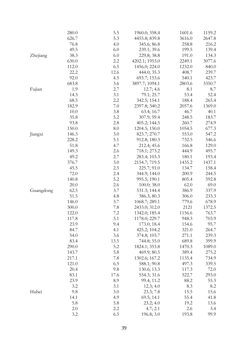|           | 280.0 | 5.5  | 1960.0; 358.4  | 1601.6 | 1159.2     |
|-----------|-------|------|----------------|--------|------------|
|           | 626.7 | 5.3  | 4455.8; 839.8  | 3616.0 | 2647.8     |
|           | 76.8  | 4.0  | 345.6; 86.8    | 258.8  | 216.2      |
|           | 49.5  | 6.0  | 239.1; 39.6    | 199.5  | 139.4      |
| Zhejiang  | 38.3  | 6.0  | 229.8; 38.8    | 191.0  | 134.3      |
|           | 630.0 | 2.2  | 4202.1; 1953.0 | 2249.1 | 3077.6     |
|           | 112.0 | 6.5  | 1456.0; 224.0  | 1232.0 | 840.0      |
|           | 22.2  | 12.6 | 444.0; 35.3    | 408.7  | 239.7      |
|           | 92.0  | 4.5  | 693.7; 153.6   | 540.1  | 423.7      |
|           | 683.8 | 3.6  | 3897.7; 1094.1 | 2803.6 | 3350.7     |
| Fujian    | 1.9   | 2.7  | 12.7; 4.6      | 8.1    | 8.7        |
|           | 14.3  | 3.1  | 79.1; 25.7     | 53.4   | 52.4       |
|           | 68.5  | 2.2  | 342.5; 154.1   | 188.4  | 265.4      |
|           | 182.9 | 7.0  | 2397.8; 340.2  | 2057.6 | 1369.0     |
|           | 10.0  | 3.8  | 63.4; 16.7     | 46.7   | 40.1       |
|           | 35.8  | 5.2  | 307.9; 59.4    | 248.5  | 183.7      |
|           | 93.8  | 2.8  | 405.2; 144.5   | 260.7  | 274.9      |
|           | 150.0 | 8.0  | 1204.5; 150.0  | 1054.5 | 677.3      |
| Jiangxi   | 146.3 | 3.0  | 823.7; 270.7   | 553.0  | 547.2      |
|           | 228.2 | 5.1  | 912.8; 180.3   | 732.5  | 546.6      |
|           | 51.8  | 4.7  | 212.4; 45.6    | 166.8  | 129.0      |
|           | 149.3 | 2.6  | 718.1; 273.2   | 444.9  | 495.7      |
|           | 49.2  | 2.7  | 283.4; 103.3   | 180.1  | 193.4      |
|           | 376.7 | 3.0  | 2154.7; 719.5  | 1435.2 | 1437.1     |
|           | 45.5  | 2.5  | 225.7; 91.0    | 134.7  | 158.4      |
|           | 72.0  | 2.4  | 344.9; 144.0   | 200.9  | 244.5      |
|           |       | 5.2  |                |        |            |
|           | 140.8 |      | 995.5; 190.1   | 805.4  | 592.8      |
|           | 20.0  | 2.6  | 100.0; 38.0    | 62.0   | 69.0       |
| Guangdong | 62.5  | 3.7  | 531.3; 144.4   | 386.9  | 337.9      |
|           | 51.5  | 4.8  | 386.3; 80.3    | 306.0  | 233.3      |
|           | 146.0 | 3.7  | 1068.7; 289.1  | 779.6  | 678.9      |
|           | 300.0 | 7.8  | 2433.0; 312.0  | 2121   | 1372.5     |
|           | 122.0 | 7.2  | 1342.0; 185.4  | 1156.6 | 763.7      |
|           | 117.8 | 5.1  | 1178.0; 229.7  | 948.3  | 703.9      |
|           | 23.9  | 9.4  | 173.0; 18.4    | 154.6  | 95.7       |
|           | 84.7  | 4.1  | 425.2; 104.2   | 321.0  | 264.7      |
|           | 54.0  | 3.6  | 374.8; 103.7   | 271.1  | 239.3      |
|           | 83.4  | 13.5 | 744.8; 55.0    | 689.8  | 399.9      |
|           | 290.0 | 5.2  | 1824.1; 353.8  | 1470.3 | 1089.0     |
|           | 143.7 | 5.8  | 469.9; 80.5    | 389.4  | 275.2      |
|           | 217.1 | 7.8  | 1302.6; 167.2  | 1135.4 | 734.9      |
|           | 121.0 | 6.5  | 588.1; 90.8    | 497.3  | 339.5      |
|           | 20.4  | 9.8  | 130.6; 13.3    | 117.3  | 72.0       |
|           | 83.1  | 17.6 | 554.3; 31.6    | 522.7  | 293.0      |
|           | 23.9  | 8.9  | 99.4; 11.2     | 88.2   | 55.3       |
|           | 3.2   | 3.1  | 12.3; 4.0      | 8.3    | $\ \, 8.2$ |
| Hubei     | 9.8   | 3.0  | 23.3; 7.8      | 15.5   | 15.6       |
|           | 14.1  | 4.9  | 69.5; 14.1     | 55.4   | 41.8       |
|           | 5.8   | 5.8  | 23.2; 4.0      | 19.2   | 13.6       |
|           | 2.0   | 2.2  | 4.7; 2.1       | 2.6    | 3.4        |
|           | 3.2   | 6.5  | 196.8; 3.0     | 193.8  | 99.9       |